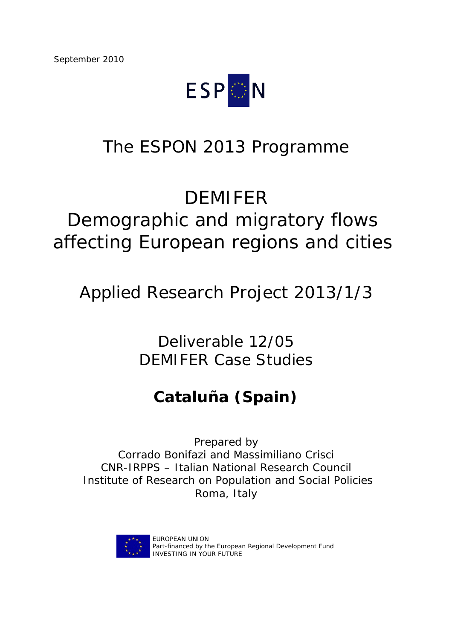

# The ESPON 2013 Programme

# DEMIFER

# Demographic and migratory flows affecting European regions and cities

Applied Research Project 2013/1/3

Deliverable 12/05 DEMIFER Case Studies

## **Cataluña (Spain)**

Prepared by Corrado Bonifazi and Massimiliano Crisci CNR-IRPPS – Italian National Research Council Institute of Research on Population and Social Policies Roma, Italy



EUROPEAN UNION Part-financed by the European Regional Development Fund INVESTING IN YOUR FUTURE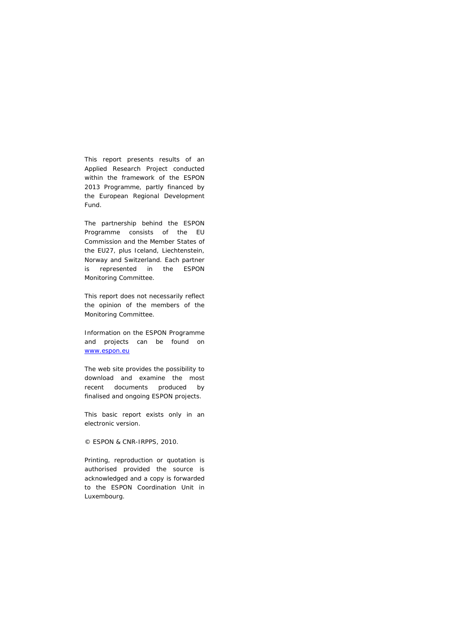This report presents results of an Applied Research Project conducted within the framework of the ESPON 2013 Programme, partly financed by the European Regional Development Fund.

The partnership behind the ESPON Programme consists of the EU Commission and the Member States of the EU27, plus Iceland, Liechtenstein, Norway and Switzerland. Each partner is represented in the ESPON Monitoring Committee.

This report does not necessarily reflect the opinion of the members of the Monitoring Committee.

Information on the ESPON Programme and projects can be found on www.espon.eu

The web site provides the possibility to download and examine the most recent documents produced by finalised and ongoing ESPON projects.

This basic report exists only in an electronic version.

#### © ESPON & CNR-IRPPS, 2010.

Printing, reproduction or quotation is authorised provided the source is acknowledged and a copy is forwarded to the ESPON Coordination Unit in Luxembourg.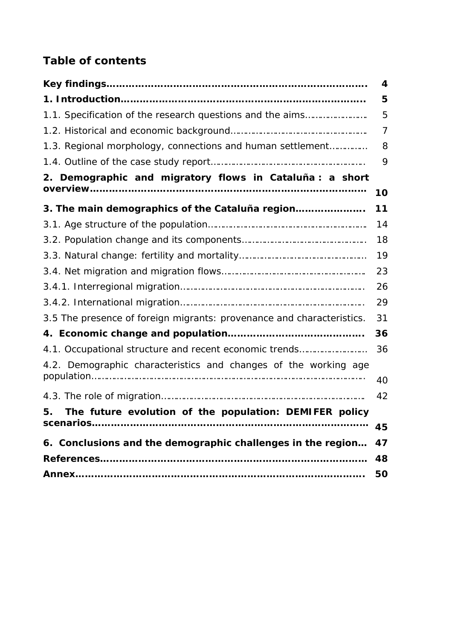## **Table of contents**

|                                                                       | 4              |
|-----------------------------------------------------------------------|----------------|
|                                                                       | 5              |
| 1.1. Specification of the research questions and the aims             | 5              |
|                                                                       | $\overline{7}$ |
| 1.3. Regional morphology, connections and human settlement            | 8              |
|                                                                       | 9              |
| 2. Demographic and migratory flows in Cataluña : a short              |                |
|                                                                       | 10             |
| 3. The main demographics of the Cataluña region                       | 11             |
|                                                                       | 14             |
|                                                                       | 18             |
|                                                                       | 19             |
|                                                                       | 23             |
|                                                                       | 26             |
|                                                                       | 29             |
| 3.5 The presence of foreign migrants: provenance and characteristics. | 31             |
|                                                                       | 36             |
| 4.1. Occupational structure and recent economic trends                | 36             |
| 4.2. Demographic characteristics and changes of the working age       |                |
|                                                                       | 40             |
|                                                                       | 42             |
| The future evolution of the population: DEMIFER policy<br>5.          |                |
|                                                                       | 45             |
| 6. Conclusions and the demographic challenges in the region           | 47             |
|                                                                       | 48             |
|                                                                       | 50             |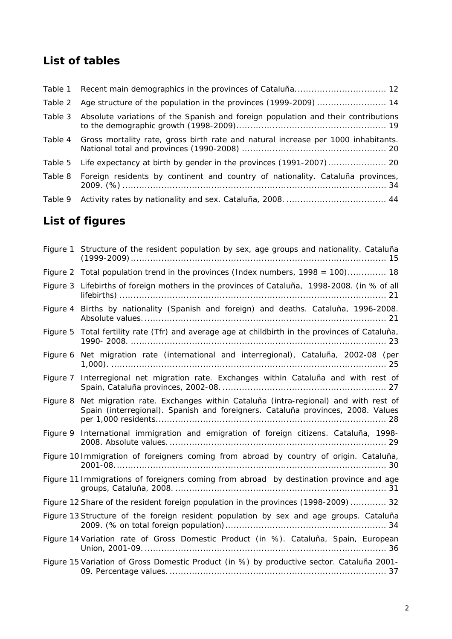### **List of tables**

| Table 1 |                                                                                   |
|---------|-----------------------------------------------------------------------------------|
| Table 2 |                                                                                   |
| Table 3 | Absolute variations of the Spanish and foreign population and their contributions |
| Table 4 | Gross mortality rate, gross birth rate and natural increase per 1000 inhabitants. |
| Table 5 |                                                                                   |
| Table 8 | Foreign residents by continent and country of nationality. Cataluña provinces,    |
| Table 9 |                                                                                   |

## **List of figures**

|          | Figure 1 Structure of the resident population by sex, age groups and nationality. Cataluña                                                                         |
|----------|--------------------------------------------------------------------------------------------------------------------------------------------------------------------|
|          | Figure 2 Total population trend in the provinces (Index numbers, 1998 = 100) 18                                                                                    |
|          | Figure 3 Lifebirths of foreign mothers in the provinces of Cataluña, 1998-2008. (in % of all                                                                       |
|          | Figure 4 Births by nationality (Spanish and foreign) and deaths. Cataluña, 1996-2008.                                                                              |
| Figure 5 | Total fertility rate (Tfr) and average age at childbirth in the provinces of Cataluña,                                                                             |
|          | Figure 6 Net migration rate (international and interregional), Cataluña, 2002-08 (per                                                                              |
|          | Figure 7 Interregional net migration rate. Exchanges within Cataluña and with rest of                                                                              |
| Figure 8 | Net migration rate. Exchanges within Cataluña (intra-regional) and with rest of<br>Spain (interregional). Spanish and foreigners. Cataluña provinces, 2008. Values |
|          | Figure 9 International immigration and emigration of foreign citizens. Cataluña, 1998-                                                                             |
|          | Figure 10 Immigration of foreigners coming from abroad by country of origin. Cataluña,                                                                             |
|          | Figure 11 Immigrations of foreigners coming from abroad by destination province and age                                                                            |
|          | Figure 12 Share of the resident foreign population in the provinces (1998-2009)  32                                                                                |
|          | Figure 13 Structure of the foreign resident population by sex and age groups. Cataluña                                                                             |
|          | Figure 14 Variation rate of Gross Domestic Product (in %). Cataluña, Spain, European                                                                               |
|          | Figure 15 Variation of Gross Domestic Product (in %) by productive sector. Cataluña 2001-                                                                          |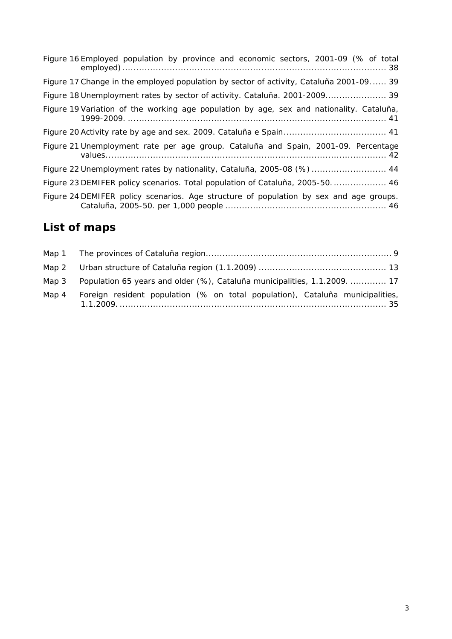| Figure 16 Employed population by province and economic sectors, 2001-09 (% of total      |
|------------------------------------------------------------------------------------------|
| Figure 17 Change in the employed population by sector of activity, Cataluna 2001-09 39   |
|                                                                                          |
| Figure 19 Variation of the working age population by age, sex and nationality. Cataluña, |
|                                                                                          |
| Figure 21 Unemployment rate per age group. Cataluña and Spain, 2001-09. Percentage       |
| Figure 22 Unemployment rates by nationality, Cataluña, 2005-08 (%)  44                   |
| Figure 23 DEMIFER policy scenarios. Total population of Cataluña, 2005-50 46             |
| Figure 24 DEMIFER policy scenarios. Age structure of population by sex and age groups.   |

## **List of maps**

| Map 3 | Population 65 years and older (%), Cataluña municipalities, 1.1.2009.  17     |  |
|-------|-------------------------------------------------------------------------------|--|
| Map 4 | Foreign resident population (% on total population), Cataluña municipalities, |  |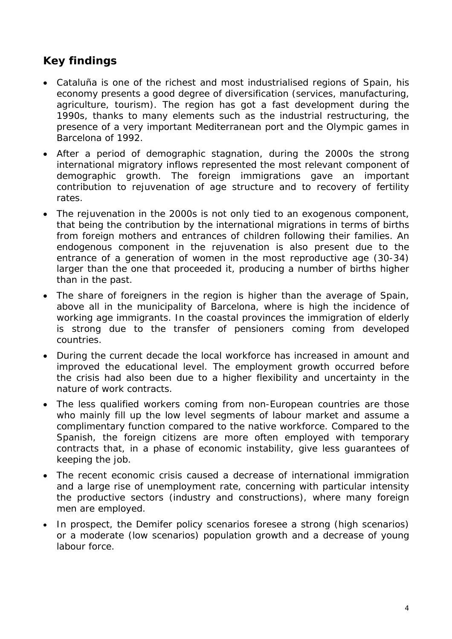### *Key findings*

- *Cataluña is one of the richest and most industrialised regions of Spain, his economy presents a good degree of diversification (services, manufacturing, agriculture, tourism). The region has got a fast development during the 1990s, thanks to many elements such as the industrial restructuring, the presence of a very important Mediterranean port and the Olympic games in Barcelona of 1992.*
- *After a period of demographic stagnation, during the 2000s the strong international migratory inflows represented the most relevant component of demographic growth. The foreign immigrations gave an important contribution to rejuvenation of age structure and to recovery of fertility rates.*
- *The rejuvenation in the 2000s is not only tied to an exogenous component, that being the contribution by the international migrations in terms of births from foreign mothers and entrances of children following their families. An endogenous component in the rejuvenation is also present due to the entrance of a generation of women in the most reproductive age (30-34)*  larger than the one that proceeded it, producing a number of births higher *than in the past.*
- *The share of foreigners in the region is higher than the average of Spain, above all in the municipality of Barcelona, where is high the incidence of working age immigrants. In the coastal provinces the immigration of elderly is strong due to the transfer of pensioners coming from developed countries.*
- *During the current decade the local workforce has increased in amount and improved the educational level. The employment growth occurred before the crisis had also been due to a higher flexibility and uncertainty in the nature of work contracts.*
- *The less qualified workers coming from non-European countries are those who mainly fill up the low level segments of labour market and assume a complimentary function compared to the native workforce. Compared to the Spanish, the foreign citizens are more often employed with temporary contracts that, in a phase of economic instability, give less guarantees of keeping the job.*
- *The recent economic crisis caused a decrease of international immigration and a large rise of unemployment rate, concerning with particular intensity the productive sectors (industry and constructions), where many foreign men are employed.*
- *In prospect, the Demifer policy scenarios foresee a strong (high scenarios) or a moderate (low scenarios) population growth and a decrease of young labour force.*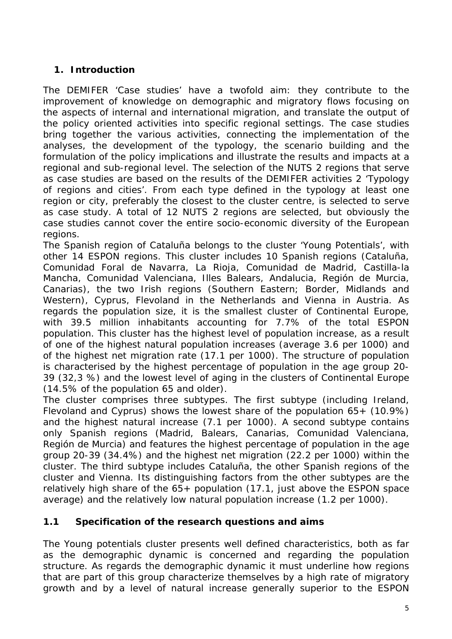### **1. Introduction**

The DEMIFER 'Case studies' have a twofold aim: they contribute to the improvement of knowledge on demographic and migratory flows focusing on the aspects of internal and international migration, and translate the output of the policy oriented activities into specific regional settings. The case studies bring together the various activities, connecting the implementation of the analyses, the development of the typology, the scenario building and the formulation of the policy implications and illustrate the results and impacts at a regional and sub-regional level. The selection of the NUTS 2 regions that serve as case studies are based on the results of the DEMIFER activities 2 'Typology of regions and cities'. From each type defined in the typology at least one region or city, preferably the closest to the cluster centre, is selected to serve as case study. A total of 12 NUTS 2 regions are selected, but obviously the case studies cannot cover the entire socio-economic diversity of the European regions.

The Spanish region of Cataluña belongs to the cluster 'Young Potentials', with other 14 ESPON regions. This cluster includes 10 Spanish regions (Cataluña, Comunidad Foral de Navarra, La Rioja, Comunidad de Madrid, Castilla-la Mancha, Comunidad Valenciana, Illes Balears, Andalucia, Región de Murcia, Canarias), the two Irish regions (Southern Eastern; Border, Midlands and Western), Cyprus, Flevoland in the Netherlands and Vienna in Austria. As regards the population size, it is the smallest cluster of Continental Europe, with 39.5 million inhabitants accounting for 7.7% of the total ESPON population. This cluster has the highest level of population increase, as a result of one of the highest natural population increases (average 3.6 per 1000) and of the highest net migration rate (17.1 per 1000). The structure of population is characterised by the highest percentage of population in the age group 20- 39 (32,3 %) and the lowest level of aging in the clusters of Continental Europe (14.5% of the population 65 and older).

The cluster comprises three subtypes. The first subtype (including Ireland, Flevoland and Cyprus) shows the lowest share of the population 65+ (10.9%) and the highest natural increase (7.1 per 1000). A second subtype contains only Spanish regions (Madrid, Balears, Canarias, Comunidad Valenciana, Región de Murcia) and features the highest percentage of population in the age group 20-39 (34.4%) and the highest net migration (22.2 per 1000) within the cluster. The third subtype includes Cataluña, the other Spanish regions of the cluster and Vienna. Its distinguishing factors from the other subtypes are the relatively high share of the 65+ population (17.1, just above the ESPON space average) and the relatively low natural population increase (1.2 per 1000).

#### **1.1 Specification of the research questions and aims**

The Young potentials cluster presents well defined characteristics, both as far as the demographic dynamic is concerned and regarding the population structure. As regards the demographic dynamic it must underline how regions that are part of this group characterize themselves by a high rate of migratory growth and by a level of natural increase generally superior to the ESPON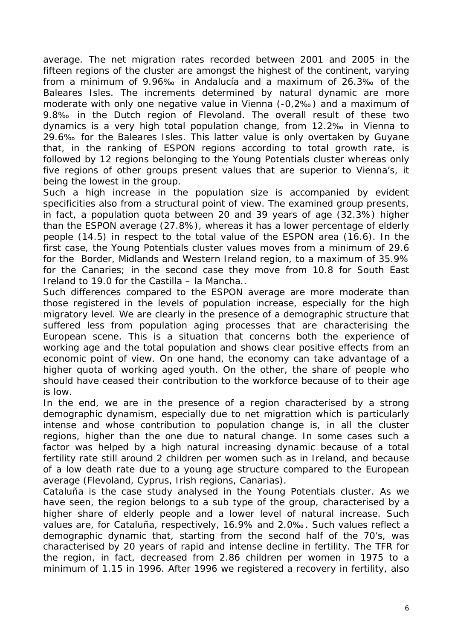average. The net migration rates recorded between 2001 and 2005 in the fifteen regions of the cluster are amongst the highest of the continent, varying from a minimum of 9.96‰ in Andalucía and a maximum of 26.3‰ of the Baleares Isles. The increments determined by natural dynamic are more moderate with only one negative value in Vienna (-0,2‰) and a maximum of 9.8‰ in the Dutch region of Flevoland. The overall result of these two dynamics is a very high total population change, from 12.2‰ in Vienna to 29.6‰ for the Baleares Isles. This latter value is only overtaken by Guyane that, in the ranking of ESPON regions according to total growth rate, is followed by 12 regions belonging to the Young Potentials cluster whereas only five regions of other groups present values that are superior to Vienna's, it being the lowest in the group.

Such a high increase in the population size is accompanied by evident specificities also from a structural point of view. The examined group presents, in fact, a population quota between 20 and 39 years of age (32.3%) higher than the ESPON average (27.8%), whereas it has a lower percentage of elderly people (14.5) in respect to the total value of the ESPON area (16.6). In the first case, the Young Potentials cluster values moves from a minimum of 29.6 for the Border, Midlands and Western Ireland region, to a maximum of 35.9% for the Canaries; in the second case they move from 10.8 for South East Ireland to 19.0 for the Castilla – la Mancha..

Such differences compared to the ESPON average are more moderate than those registered in the levels of population increase, especially for the high migratory level. We are clearly in the presence of a demographic structure that suffered less from population aging processes that are characterising the European scene. This is a situation that concerns both the experience of working age and the total population and shows clear positive effects from an economic point of view. On one hand, the economy can take advantage of a higher quota of working aged youth. On the other, the share of people who should have ceased their contribution to the workforce because of to their age is low.

In the end, we are in the presence of a region characterised by a strong demographic dynamism, especially due to net migrattion which is particularly intense and whose contribution to population change is, in all the cluster regions, higher than the one due to natural change. In some cases such a factor was helped by a high natural increasing dynamic because of a total fertility rate still around 2 children per women such as in Ireland, and because of a low death rate due to a young age structure compared to the European average (Flevoland, Cyprus, Irish regions, Canarias).

Cataluña is the case study analysed in the Young Potentials cluster. As we have seen, the region belongs to a sub type of the group, characterised by a higher share of elderly people and a lower level of natural increase. Such values are, for Cataluña, respectively, 16.9% and 2.0‰. Such values reflect a demographic dynamic that, starting from the second half of the 70's, was characterised by 20 years of rapid and intense decline in fertility. The TFR for the region, in fact, decreased from 2.86 children per women in 1975 to a minimum of 1.15 in 1996. After 1996 we registered a recovery in fertility, also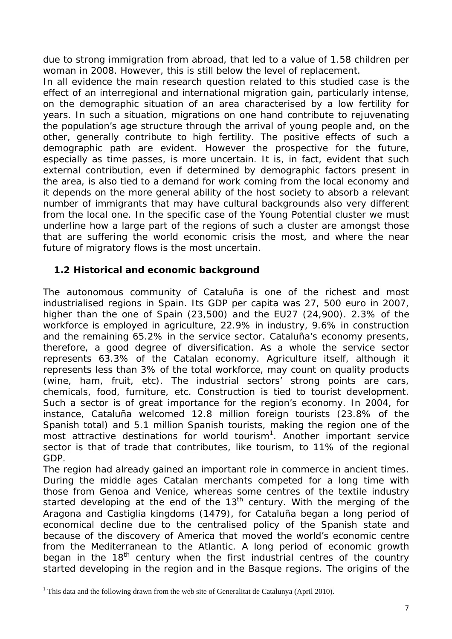due to strong immigration from abroad, that led to a value of 1.58 children per woman in 2008. However, this is still below the level of replacement.

In all evidence the main research question related to this studied case is the effect of an interregional and international migration gain, particularly intense, on the demographic situation of an area characterised by a low fertility for years. In such a situation, migrations on one hand contribute to rejuvenating the population's age structure through the arrival of young people and, on the other, generally contribute to high fertility. The positive effects of such a demographic path are evident. However the prospective for the future, especially as time passes, is more uncertain. It is, in fact, evident that such external contribution, even if determined by demographic factors present in the area, is also tied to a demand for work coming from the local economy and it depends on the more general ability of the host society to absorb a relevant number of immigrants that may have cultural backgrounds also very different from the local one. In the specific case of the Young Potential cluster we must underline how a large part of the regions of such a cluster are amongst those that are suffering the world economic crisis the most, and where the near future of migratory flows is the most uncertain.

#### **1.2Historical and economic background**

The autonomous community of Cataluña is one of the richest and most industrialised regions in Spain. Its GDP per capita was 27, 500 euro in 2007, higher than the one of Spain (23,500) and the EU27 (24,900). 2.3% of the workforce is employed in agriculture, 22.9% in industry, 9.6% in construction and the remaining 65.2% in the service sector. Cataluña's economy presents, therefore, a good degree of diversification. As a whole the service sector represents 63.3% of the Catalan economy. Agriculture itself, although it represents less than 3% of the total workforce, may count on quality products (wine, ham, fruit, etc). The industrial sectors' strong points are cars, chemicals, food, furniture, etc. Construction is tied to tourist development. Such a sector is of great importance for the region's economy. In 2004, for instance, Cataluña welcomed 12.8 million foreign tourists (23.8% of the Spanish total) and 5.1 million Spanish tourists, making the region one of the most attractive destinations for world tourism<sup>1</sup>. Another important service sector is that of trade that contributes, like tourism, to 11% of the regional GDP.

The region had already gained an important role in commerce in ancient times. During the middle ages Catalan merchants competed for a long time with those from Genoa and Venice, whereas some centres of the textile industry started developing at the end of the 13<sup>th</sup> century. With the merging of the Aragona and Castiglia kingdoms (1479), for Cataluña began a long period of economical decline due to the centralised policy of the Spanish state and because of the discovery of America that moved the world's economic centre from the Mediterranean to the Atlantic. A long period of economic growth began in the 18<sup>th</sup> century when the first industrial centres of the country started developing in the region and in the Basque regions. The origins of the

j

<sup>&</sup>lt;sup>1</sup> This data and the following drawn from the web site of Generalitat de Catalunya (April 2010).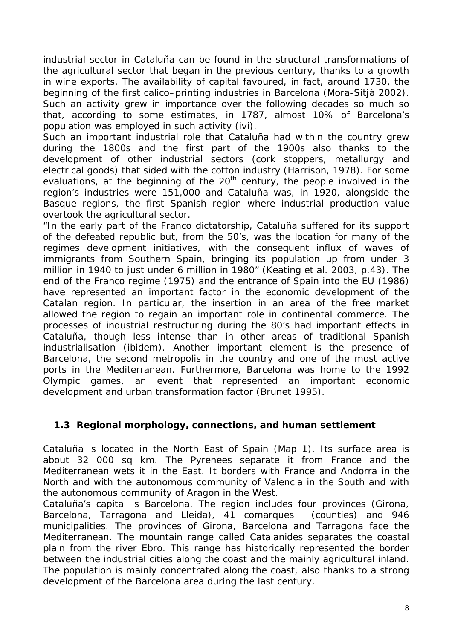industrial sector in Cataluña can be found in the structural transformations of the agricultural sector that began in the previous century, thanks to a growth in wine exports. The availability of capital favoured, in fact, around 1730, the beginning of the first calico–printing industries in Barcelona (Mora-Sitjà 2002). Such an activity grew in importance over the following decades so much so that, according to some estimates, in 1787, almost 10% of Barcelona's population was employed in such activity (ivi).

Such an important industrial role that Cataluña had within the country grew during the 1800s and the first part of the 1900s also thanks to the development of other industrial sectors (cork stoppers, metallurgy and electrical goods) that sided with the cotton industry (Harrison, 1978). For some evaluations, at the beginning of the  $20<sup>th</sup>$  century, the people involved in the region's industries were 151,000 and Cataluña was, in 1920, alongside the Basque regions, the first Spanish region where industrial production value overtook the agricultural sector.

"In the early part of the Franco dictatorship, Cataluña suffered for its support of the defeated republic but, from the 50's, was the location for many of the regimes development initiatives, with the consequent influx of waves of immigrants from Southern Spain, bringing its population up from under 3 million in 1940 to just under 6 million in 1980" (Keating et al. 2003, p.43). The end of the Franco regime (1975) and the entrance of Spain into the EU (1986) have represented an important factor in the economic development of the Catalan region. In particular, the insertion in an area of the free market allowed the region to regain an important role in continental commerce. The processes of industrial restructuring during the 80's had important effects in Cataluña, though less intense than in other areas of traditional Spanish industrialisation (ibidem). Another important element is the presence of Barcelona, the second metropolis in the country and one of the most active ports in the Mediterranean. Furthermore, Barcelona was home to the 1992 Olympic games, an event that represented an important economic development and urban transformation factor (Brunet 1995).

#### **1.3 Regional morphology, connections, and human settlement**

Cataluña is located in the North East of Spain (Map 1). Its surface area is about 32 000 sq km. The Pyrenees separate it from France and the Mediterranean wets it in the East. It borders with France and Andorra in the North and with the autonomous community of Valencia in the South and with the autonomous community of Aragon in the West.

Cataluña's capital is Barcelona. The region includes four provinces (Girona, Barcelona, Tarragona and Lleida), 41 comarques (counties) and 946 municipalities. The provinces of Girona, Barcelona and Tarragona face the Mediterranean. The mountain range called Catalanides separates the coastal plain from the river Ebro. This range has historically represented the border between the industrial cities along the coast and the mainly agricultural inland. The population is mainly concentrated along the coast, also thanks to a strong development of the Barcelona area during the last century.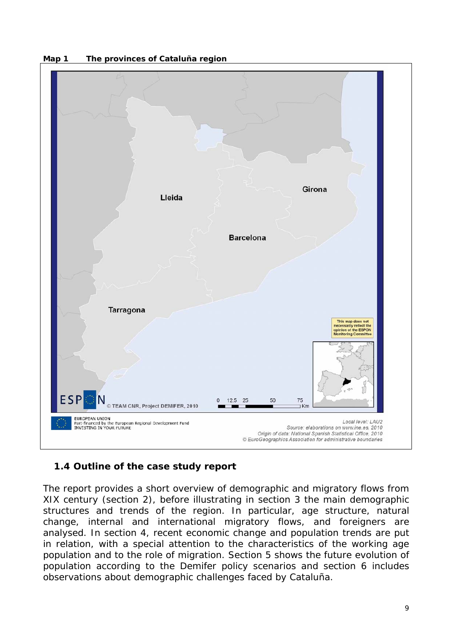



#### **1.4Outline of the case study report**

The report provides a short overview of demographic and migratory flows from XIX century (section 2), before illustrating in section 3 the main demographic structures and trends of the region. In particular, age structure, natural change, internal and international migratory flows, and foreigners are analysed. In section 4, recent economic change and population trends are put in relation, with a special attention to the characteristics of the working age population and to the role of migration. Section 5 shows the future evolution of population according to the Demifer policy scenarios and section 6 includes observations about demographic challenges faced by Cataluña.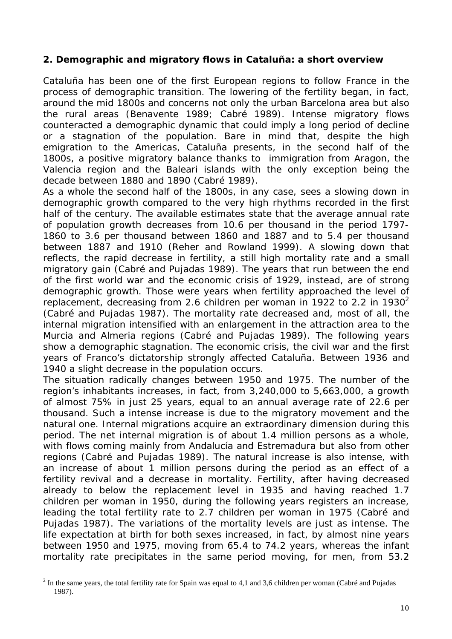#### **2. Demographic and migratory flows in Cataluña: a short overview**

Cataluña has been one of the first European regions to follow France in the process of demographic transition. The lowering of the fertility began, in fact, around the mid 1800s and concerns not only the urban Barcelona area but also the rural areas (Benavente 1989; Cabré 1989). Intense migratory flows counteracted a demographic dynamic that could imply a long period of decline or a stagnation of the population. Bare in mind that, despite the high emigration to the Americas, Cataluña presents, in the second half of the 1800s, a positive migratory balance thanks to immigration from Aragon, the Valencia region and the Baleari islands with the only exception being the decade between 1880 and 1890 (Cabré 1989).

As a whole the second half of the 1800s, in any case, sees a slowing down in demographic growth compared to the very high rhythms recorded in the first half of the century. The available estimates state that the average annual rate of population growth decreases from 10.6 per thousand in the period 1797- 1860 to 3.6 per thousand between 1860 and 1887 and to 5.4 per thousand between 1887 and 1910 (Reher and Rowland 1999). A slowing down that reflects, the rapid decrease in fertility, a still high mortality rate and a small migratory gain (Cabré and Pujadas 1989). The years that run between the end of the first world war and the economic crisis of 1929, instead, are of strong demographic growth. Those were years when fertility approached the level of replacement, decreasing from 2.6 children per woman in 1922 to 2.2 in 1930<sup>2</sup> (Cabré and Pujadas 1987). The mortality rate decreased and, most of all, the internal migration intensified with an enlargement in the attraction area to the Murcia and Almeria regions (Cabré and Pujadas 1989). The following years show a demographic stagnation. The economic crisis, the civil war and the first years of Franco's dictatorship strongly affected Cataluña. Between 1936 and 1940 a slight decrease in the population occurs.

The situation radically changes between 1950 and 1975. The number of the region's inhabitants increases, in fact, from 3,240,000 to 5,663,000, a growth of almost 75% in just 25 years, equal to an annual average rate of 22.6 per thousand. Such a intense increase is due to the migratory movement and the natural one. Internal migrations acquire an extraordinary dimension during this period. The net internal migration is of about 1.4 million persons as a whole, with flows coming mainly from Andalucía and Estremadura but also from other regions (Cabré and Pujadas 1989). The natural increase is also intense, with an increase of about 1 million persons during the period as an effect of a fertility revival and a decrease in mortality. Fertility, after having decreased already to below the replacement level in 1935 and having reached 1.7 children per woman in 1950, during the following years registers an increase, leading the total fertility rate to 2.7 children per woman in 1975 (Cabré and Pujadas 1987). The variations of the mortality levels are just as intense. The life expectation at birth for both sexes increased, in fact, by almost nine years between 1950 and 1975, moving from 65.4 to 74.2 years, whereas the infant mortality rate precipitates in the same period moving, for men, from 53.2

 $\overline{a}$ 

 $2 \text{ In the same years, the total fertility rate for Spain was equal to 4,1 and 3,6 children per woman (Cabré and Pujadas)$ 1987).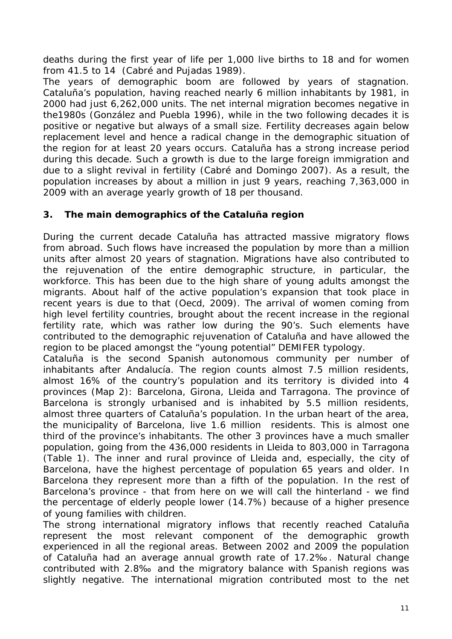deaths during the first year of life per 1,000 live births to 18 and for women from 41.5 to 14 (Cabré and Pujadas 1989).

The years of demographic boom are followed by years of stagnation. Cataluña's population, having reached nearly 6 million inhabitants by 1981, in 2000 had just 6,262,000 units. The net internal migration becomes negative in the1980s (González and Puebla 1996), while in the two following decades it is positive or negative but always of a small size. Fertility decreases again below replacement level and hence a radical change in the demographic situation of the region for at least 20 years occurs. Cataluña has a strong increase period during this decade. Such a growth is due to the large foreign immigration and due to a slight revival in fertility (Cabré and Domingo 2007). As a result, the population increases by about a million in just 9 years, reaching 7,363,000 in 2009 with an average yearly growth of 18 per thousand.

#### **3. The main demographics of the Cataluña region**

During the current decade Cataluña has attracted massive migratory flows from abroad. Such flows have increased the population by more than a million units after almost 20 years of stagnation. Migrations have also contributed to the rejuvenation of the entire demographic structure, in particular, the workforce. This has been due to the high share of young adults amongst the migrants. About half of the active population's expansion that took place in recent years is due to that (Oecd, 2009). The arrival of women coming from high level fertility countries, brought about the recent increase in the regional fertility rate, which was rather low during the 90's. Such elements have contributed to the demographic rejuvenation of Cataluña and have allowed the region to be placed amongst the "young potential" DEMIFER typology.

Cataluña is the second Spanish autonomous community per number of inhabitants after Andalucía. The region counts almost 7.5 million residents, almost 16% of the country's population and its territory is divided into 4 provinces (Map 2): Barcelona, Girona, Lleida and Tarragona. The province of Barcelona is strongly urbanised and is inhabited by 5.5 million residents, almost three quarters of Cataluña's population. In the urban heart of the area, the municipality of Barcelona, live 1.6 million residents. This is almost one third of the province's inhabitants. The other 3 provinces have a much smaller population, going from the 436,000 residents in Lleida to 803,000 in Tarragona (Table 1). The inner and rural province of Lleida and, especially, the city of Barcelona, have the highest percentage of population 65 years and older. In Barcelona they represent more than a fifth of the population. In the rest of Barcelona's province - that from here on we will call the *hinterland -* we find the percentage of elderly people lower (14.7%) because of a higher presence of young families with children.

The strong international migratory inflows that recently reached Cataluña represent the most relevant component of the demographic growth experienced in all the regional areas. Between 2002 and 2009 the population of Cataluña had an average annual growth rate of 17.2‰. Natural change contributed with 2.8‰ and the migratory balance with Spanish regions was slightly negative. The international migration contributed most to the net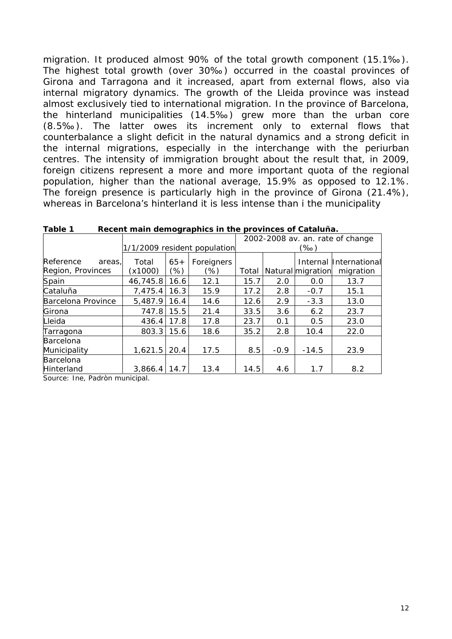migration. It produced almost 90% of the total growth component (15.1‰). The highest total growth (over 30‰) occurred in the coastal provinces of Girona and Tarragona and it increased, apart from external flows, also via internal migratory dynamics. The growth of the Lleida province was instead almost exclusively tied to international migration. In the province of Barcelona, the hinterland municipalities (14.5‰) grew more than the urban core (8.5‰). The latter owes its increment only to external flows that counterbalance a slight deficit in the natural dynamics and a strong deficit in the internal migrations, especially in the interchange with the periurban centres. The intensity of immigration brought about the result that, in 2009, foreign citizens represent a more and more important quota of the regional population, higher than the national average, 15.9% as opposed to 12.1%. The foreign presence is particularly high in the province of Girona (21.4%), whereas in Barcelona's hinterland it is less intense than i the municipality

|                                          |                  |              |                              | 2002-2008 av. an. rate of change |        |                   |                                     |
|------------------------------------------|------------------|--------------|------------------------------|----------------------------------|--------|-------------------|-------------------------------------|
|                                          |                  |              | 1/1/2009 resident population | (‰)                              |        |                   |                                     |
| Reference<br>areas.<br>Region, Provinces | Total<br>(x1000) | $65+$<br>'%) | Foreigners<br>(%)            | Total                            |        | Natural migration | Internal International<br>migration |
| Spain                                    | 46,745.8         | 16.6         | 12.1                         | 15.7                             | 2.0    | 0.0               | 13.7                                |
| Cataluña                                 | 7,475.4          | 16.3         | 15.9                         | 17.2                             | 2.8    | $-0.7$            | 15.1                                |
| Barcelona Province                       | 5,487.9          | 16.4         | 14.6                         | 12.6                             | 2.9    | $-3.3$            | 13.0                                |
| Girona                                   | 747.8            | 15.5         | 21.4                         | 33.5                             | 3.6    | 6.2               | 23.7                                |
| Lleida                                   | 436.4            | 17.8         | 17.8                         | 23.7                             | 0.1    | 0.5               | 23.0                                |
| Tarragona                                | 803.3            | 15.6         | 18.6                         | 35.2                             | 2.8    | 10.4              | 22.0                                |
| Barcelona                                |                  |              |                              |                                  |        |                   |                                     |
| Municipality                             | 1,621.5          | 20.4         | 17.5                         | 8.5                              | $-0.9$ | $-14.5$           | 23.9                                |
| <b>Barcelona</b>                         |                  |              |                              |                                  |        |                   |                                     |
| Hinterland                               | 3.866.4          | 14.7         | 13.4                         | 14.5                             | 4.6    | 1.7               | 8.2                                 |

**Table 1 Recent main demographics in the provinces of Cataluña.** 

Source: Ine, *Padròn municipal*.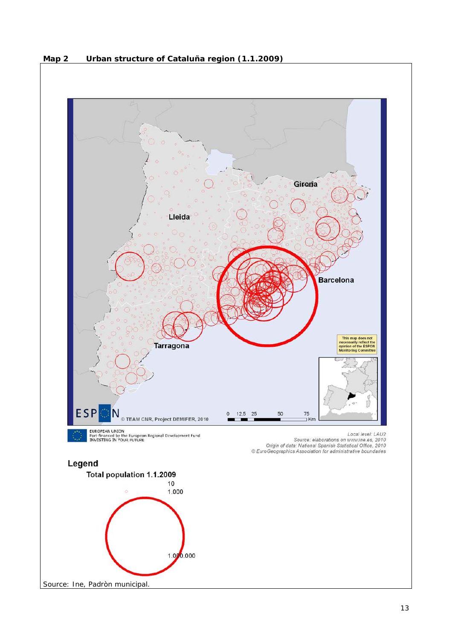

**Map 2 Urban structure of Cataluña region (1.1.2009)**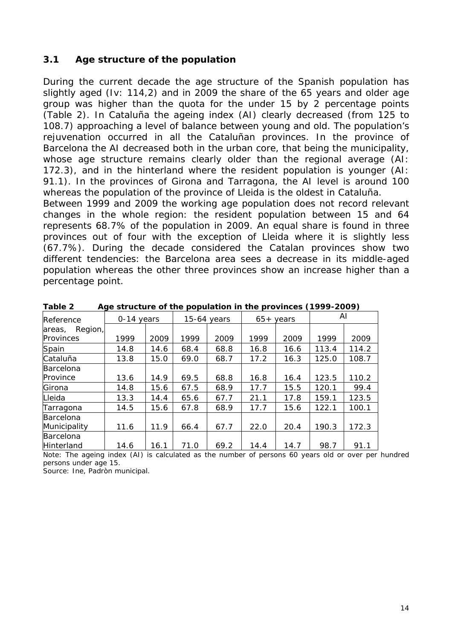#### **3.1 Age structure of the population**

During the current decade the age structure of the Spanish population has slightly aged (Iv: 114,2) and in 2009 the share of the 65 years and older age group was higher than the quota for the under 15 by 2 percentage points (Table 2). In Cataluña the ageing index (AI) clearly decreased (from 125 to 108.7) approaching a level of balance between young and old. The population's rejuvenation occurred in all the Cataluñan provinces. In the province of Barcelona the AI decreased both in the urban core, that being the municipality, whose age structure remains clearly older than the regional average (AI: 172.3), and in the hinterland where the resident population is younger (AI: 91.1). In the provinces of Girona and Tarragona, the AI level is around 100 whereas the population of the province of Lleida is the oldest in Cataluña.

Between 1999 and 2009 the working age population does not record relevant changes in the whole region: the resident population between 15 and 64 represents 68.7% of the population in 2009. An equal share is found in three provinces out of four with the exception of Lleida where it is slightly less (67.7%). During the decade considered the Catalan provinces show two different tendencies: the Barcelona area sees a decrease in its middle-aged population whereas the other three provinces show an increase higher than a percentage point.

| Reference         | 0-14 years |      | 15-64 years |      | $65+$ years |      | AI    |       |
|-------------------|------------|------|-------------|------|-------------|------|-------|-------|
| Region,<br>areas, |            |      |             |      |             |      |       |       |
| Provinces         | 1999       | 2009 | 1999        | 2009 | 1999        | 2009 | 1999  | 2009  |
| Spain             | 14.8       | 14.6 | 68.4        | 68.8 | 16.8        | 16.6 | 113.4 | 114.2 |
| Cataluña          | 13.8       | 15.0 | 69.0        | 68.7 | 17.2        | 16.3 | 125.0 | 108.7 |
| <b>Barcelona</b>  |            |      |             |      |             |      |       |       |
| Province          | 13.6       | 14.9 | 69.5        | 68.8 | 16.8        | 16.4 | 123.5 | 110.2 |
| Girona            | 14.8       | 15.6 | 67.5        | 68.9 | 17.7        | 15.5 | 120.1 | 99.4  |
| Lleida            | 13.3       | 14.4 | 65.6        | 67.7 | 21.1        | 17.8 | 159.1 | 123.5 |
| Tarragona         | 14.5       | 15.6 | 67.8        | 68.9 | 17.7        | 15.6 | 122.1 | 100.1 |
| <b>Barcelona</b>  |            |      |             |      |             |      |       |       |
| Municipality      | 11.6       | 11.9 | 66.4        | 67.7 | 22.0        | 20.4 | 190.3 | 172.3 |
| <b>Barcelona</b>  |            |      |             |      |             |      |       |       |
| Hinterland        | 14.6       | 16.1 | 71.0        | 69.2 | 14.4        | 14.7 | 98.7  | 91.1  |

**Table 2 Age structure of the population in the provinces (1999-2009)** 

Note: The ageing index (AI) is calculated as the number of persons 60 years old or over per hundred persons under age 15.

Source: Ine, *Padròn municipal*.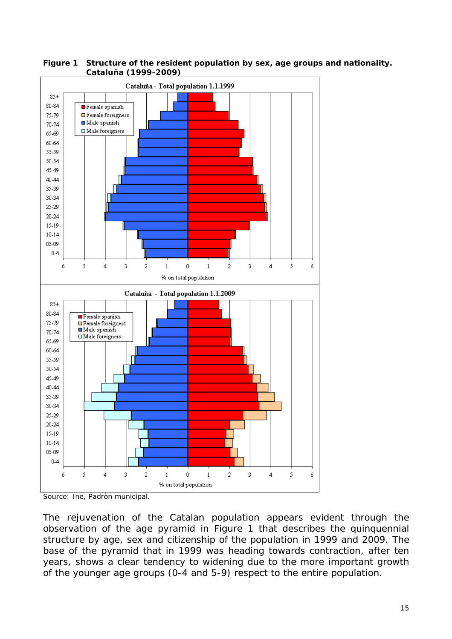

**Figure 1 Structure of the resident population by sex, age groups and nationality. Cataluña (1999-2009)** 

Source: Ine, *Padròn municipal*.

The rejuvenation of the Catalan population appears evident through the observation of the age pyramid in Figure 1 that describes the quinquennial structure by age, sex and citizenship of the population in 1999 and 2009. The base of the pyramid that in 1999 was heading towards contraction, after ten years, shows a clear tendency to widening due to the more important growth of the younger age groups (0-4 and 5-9) respect to the entire population.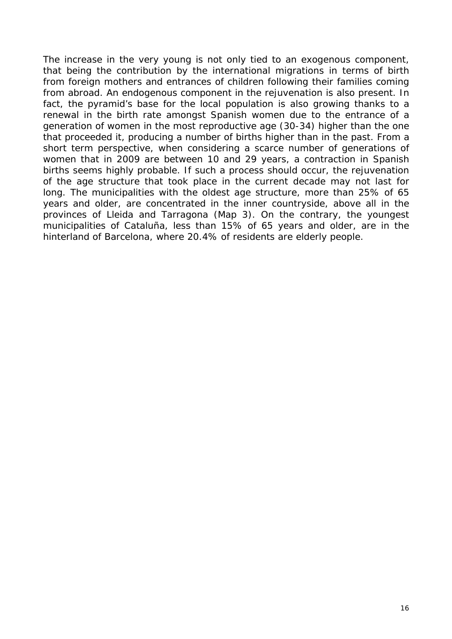The increase in the very young is not only tied to an exogenous component, that being the contribution by the international migrations in terms of birth from foreign mothers and entrances of children following their families coming from abroad. An endogenous component in the rejuvenation is also present. In fact, the pyramid's base for the local population is also growing thanks to a renewal in the birth rate amongst Spanish women due to the entrance of a generation of women in the most reproductive age (30-34) higher than the one that proceeded it, producing a number of births higher than in the past. From a short term perspective, when considering a scarce number of generations of women that in 2009 are between 10 and 29 years, a contraction in Spanish births seems highly probable. If such a process should occur, the rejuvenation of the age structure that took place in the current decade may not last for long. The municipalities with the oldest age structure, more than 25% of 65 years and older, are concentrated in the inner countryside, above all in the provinces of Lleida and Tarragona (Map 3). On the contrary, the youngest municipalities of Cataluña, less than 15% of 65 years and older, are in the hinterland of Barcelona, where 20.4% of residents are elderly people.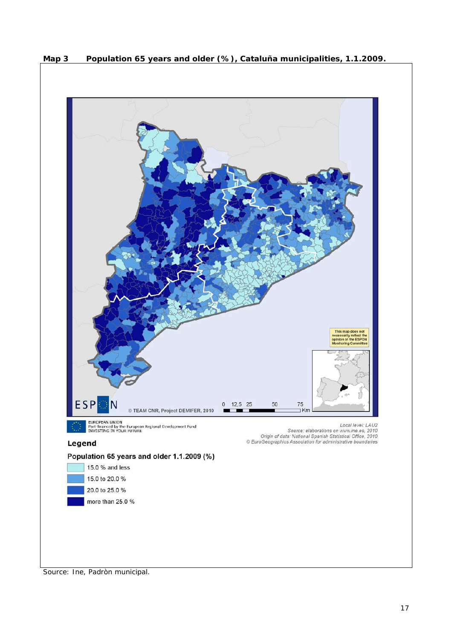

**Map 3 Population 65 years and older (%), Cataluña municipalities, 1.1.2009.** 

Source: Ine, *Padròn municipal*.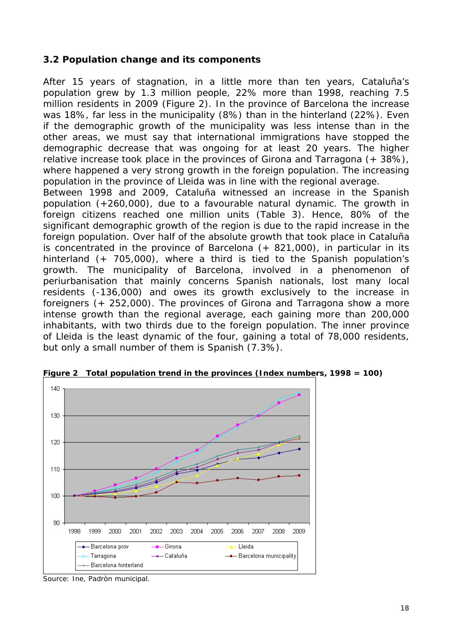#### **3.2 Population change and its components**

After 15 years of stagnation, in a little more than ten years, Cataluña's population grew by 1.3 million people, 22% more than 1998, reaching 7.5 million residents in 2009 (Figure 2). In the province of Barcelona the increase was 18%, far less in the municipality (8%) than in the hinterland (22%). Even if the demographic growth of the municipality was less intense than in the other areas, we must say that international immigrations have stopped the demographic decrease that was ongoing for at least 20 years. The higher relative increase took place in the provinces of Girona and Tarragona (+ 38%), where happened a very strong growth in the foreign population. The increasing population in the province of Lleida was in line with the regional average.

Between 1998 and 2009, Cataluña witnessed an increase in the Spanish population (+260,000), due to a favourable natural dynamic. The growth in foreign citizens reached one million units (Table 3). Hence, 80% of the significant demographic growth of the region is due to the rapid increase in the foreign population. Over half of the absolute growth that took place in Cataluña is concentrated in the province of Barcelona (+ 821,000), in particular in its hinterland (+ 705,000), where a third is tied to the Spanish population's growth. The municipality of Barcelona, involved in a phenomenon of periurbanisation that mainly concerns Spanish nationals, lost many local residents (-136,000) and owes its growth exclusively to the increase in foreigners (+ 252,000). The provinces of Girona and Tarragona show a more intense growth than the regional average, each gaining more than 200,000 inhabitants, with two thirds due to the foreign population. The inner province of Lleida is the least dynamic of the four, gaining a total of 78,000 residents, but only a small number of them is Spanish (7.3%).



**Figure 2 Total population trend in the provinces (Index numbers, 1998 = 100)** 

Source: Ine, *Padròn municipal*.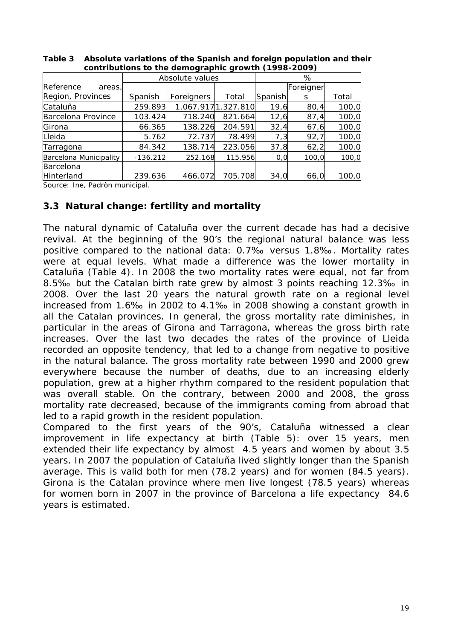|                               |            | Absolute values    |         | %       |           |       |
|-------------------------------|------------|--------------------|---------|---------|-----------|-------|
| Reference<br>areas,           |            |                    |         |         | Foreigner |       |
| Region, Provinces             | Spanish    | Foreigners         | Total   | Spanish | S         | Total |
| Cataluña                      | 259.893    | 1.067.9171.327.810 |         | 19,6    | 80,4      | 100,0 |
| Barcelona Province            | 103.424    | 718.240            | 821.664 | 12,6    | 87,4      | 100,0 |
| Girona                        | 66.365     | 138.226            | 204.591 | 32,4    | 67,6      | 100,0 |
| Lleida                        | 5.762      | 72.737             | 78.499  | 7,3     | 92,7      | 100,0 |
| Tarragona                     | 84.342     | 138.714            | 223.056 | 37,8    | 62,2      | 100,0 |
| <b>Barcelona Municipality</b> | $-136.212$ | 252.168            | 115.956 | O, O    | 100,0     | 100,0 |
| <b>Barcelona</b>              |            |                    |         |         |           |       |
| Hinterland                    | 239.636    | 466.072            | 705.708 | 34,0    | 66,0      | 100,0 |

**Table 3 Absolute variations of the Spanish and foreign population and their contributions to the demographic growth (1998-2009)** 

Source: Ine, *Padròn municipal*.

#### **3.3 Natural change: fertility and mortality**

The natural dynamic of Cataluña over the current decade has had a decisive revival. At the beginning of the 90's the regional natural balance was less positive compared to the national data: 0.7‰ versus 1.8‰. Mortality rates were at equal levels. What made a difference was the lower mortality in Cataluña (Table 4). In 2008 the two mortality rates were equal, not far from 8.5‰ but the Catalan birth rate grew by almost 3 points reaching 12.3‰ in 2008. Over the last 20 years the natural growth rate on a regional level increased from 1.6‰ in 2002 to 4.1‰ in 2008 showing a constant growth in all the Catalan provinces. In general, the gross mortality rate diminishes, in particular in the areas of Girona and Tarragona, whereas the gross birth rate increases. Over the last two decades the rates of the province of Lleida recorded an opposite tendency, that led to a change from negative to positive in the natural balance. The gross mortality rate between 1990 and 2000 grew everywhere because the number of deaths, due to an increasing elderly population, grew at a higher rhythm compared to the resident population that was overall stable. On the contrary, between 2000 and 2008, the gross mortality rate decreased, because of the immigrants coming from abroad that led to a rapid growth in the resident population.

Compared to the first years of the 90's, Cataluña witnessed a clear improvement in life expectancy at birth (Table 5): over 15 years, men extended their life expectancy by almost 4.5 years and women by about 3.5 years. In 2007 the population of Cataluña lived slightly longer than the Spanish average. This is valid both for men (78.2 years) and for women (84.5 years). Girona is the Catalan province where men live longest (78.5 years) whereas for women born in 2007 in the province of Barcelona a life expectancy 84.6 years is estimated.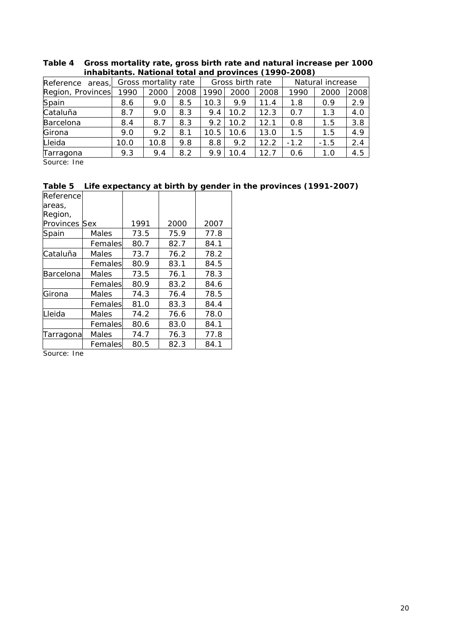| Reference areas,  |      | Gross mortality rate |      |      | Gross birth rate |      |        | Natural increase |      |  |
|-------------------|------|----------------------|------|------|------------------|------|--------|------------------|------|--|
| Region, Provinces | 1990 | 2000                 | 2008 | 1990 | 2000             | 2008 | 1990   | 2000             | 2008 |  |
| Spain             | 8.6  | 9.0                  | 8.5  | 10.3 | 9.9              | 11.4 | 1.8    | 0.9              | 2.9  |  |
| Cataluña          | 8.7  | 9.0                  | 8.3  | 9.4  | 10.2             | 12.3 | 0.7    | 1.3              | 4.0  |  |
| Barcelona         | 8.4  | 8.7                  | 8.3  | 9.2  | 10.2             | 12.1 | 0.8    | 1.5              | 3.8  |  |
| Girona            | 9.0  | 9.2                  | 8.1  | 10.5 | 10.6             | 13.0 | 1.5    | 1.5              | 4.9  |  |
| Lleida            | 10.0 | 10.8                 | 9.8  | 8.8  | 9.2              | 12.2 | $-1.2$ | $-1.5$           | 2.4  |  |
| Tarragona         | 9.3  | 9.4                  | 8.2  | 9.9  | 10.4             | 12.7 | 0.6    | 1.0              | 4.5  |  |

**Table 4 Gross mortality rate, gross birth rate and natural increase per 1000 inhabitants. National total and provinces (1990-2008)** 

Source: Ine

#### **Table 5 Life expectancy at birth by gender in the provinces (1991-2007)**

| Reference |         |      |      |      |
|-----------|---------|------|------|------|
| areas,    |         |      |      |      |
| Region,   |         |      |      |      |
| Provinces | Sex     | 1991 | 2000 | 2007 |
| Spain     | Males   | 73.5 | 75.9 | 77.8 |
|           | Females | 80.7 | 82.7 | 84.1 |
| Cataluña  | Males   | 73.7 | 76.2 | 78.2 |
|           | Females | 80.9 | 83.1 | 84.5 |
| Barcelona | Males   | 73.5 | 76.1 | 78.3 |
|           | Females | 80.9 | 83.2 | 84.6 |
| Girona    | Males   | 74.3 | 76.4 | 78.5 |
|           | Females | 81.0 | 83.3 | 84.4 |
| Lleida    | Males   | 74.2 | 76.6 | 78.0 |
|           | Females | 80.6 | 83.0 | 84.1 |
| Tarragona | Males   | 74.7 | 76.3 | 77.8 |
|           | Females | 80.5 | 82.3 | 84.1 |

Source: Ine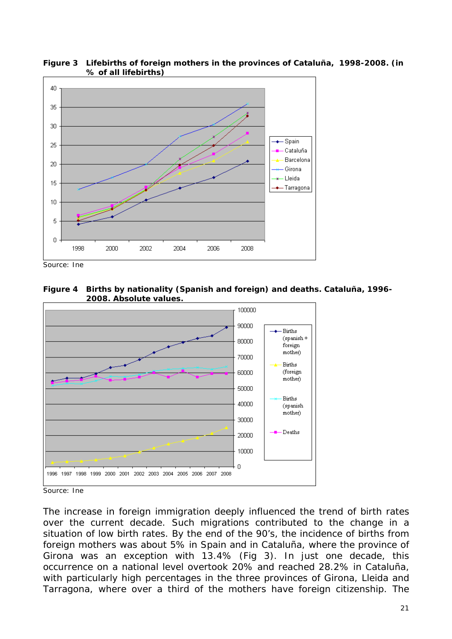

**Figure 3 Lifebirths of foreign mothers in the provinces of Cataluña, 1998-2008. (in % of all lifebirths)** 

Source: Ine





Source: Ine

The increase in foreign immigration deeply influenced the trend of birth rates over the current decade. Such migrations contributed to the change in a situation of low birth rates. By the end of the 90's, the incidence of births from foreign mothers was about 5% in Spain and in Cataluña, where the province of Girona was an exception with 13.4% (Fig 3). In just one decade, this occurrence on a national level overtook 20% and reached 28.2% in Cataluña, with particularly high percentages in the three provinces of Girona, Lleida and Tarragona, where over a third of the mothers have foreign citizenship. The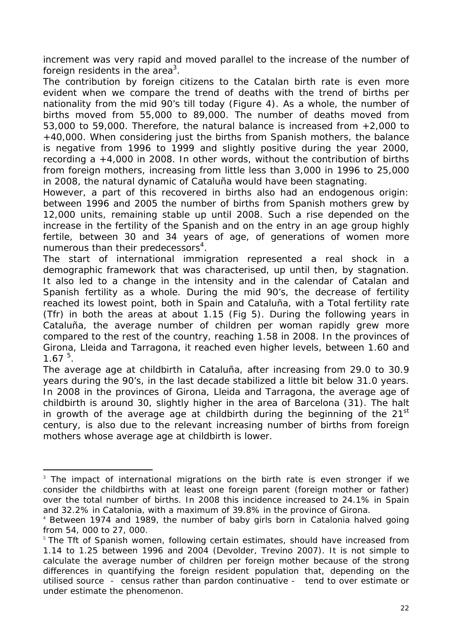increment was very rapid and moved parallel to the increase of the number of foreign residents in the area<sup>3</sup>.

The contribution by foreign citizens to the Catalan birth rate is even more evident when we compare the trend of deaths with the trend of births per nationality from the mid 90's till today (Figure 4). As a whole, the number of births moved from 55,000 to 89,000. The number of deaths moved from 53,000 to 59,000. Therefore, the natural balance is increased from +2,000 to +40,000. When considering just the births from Spanish mothers, the balance is negative from 1996 to 1999 and slightly positive during the year 2000, recording a +4,000 in 2008. In other words, without the contribution of births from foreign mothers, increasing from little less than 3,000 in 1996 to 25,000 in 2008, the natural dynamic of Cataluña would have been stagnating.

However, a part of this recovered in births also had an endogenous origin: between 1996 and 2005 the number of births from Spanish mothers grew by 12,000 units, remaining stable up until 2008. Such a rise depended on the increase in the fertility of the Spanish and on the entry in an age group highly fertile, between 30 and 34 years of age, of generations of women more numerous than their predecessors<sup>4</sup>.

The start of international immigration represented a real *shock* in a demographic framework that was characterised, up until then, by stagnation. It also led to a change in the intensity and in the calendar of Catalan and Spanish fertility as a whole. During the mid 90's, the decrease of fertility reached its lowest point, both in Spain and Cataluña, with a Total fertility rate (Tfr) in both the areas at about 1.15 (Fig 5). During the following years in Cataluña, the average number of children per woman rapidly grew more compared to the rest of the country, reaching 1.58 in 2008. In the provinces of Girona, Lleida and Tarragona, it reached even higher levels, between 1.60 and  $1.67<sup>5</sup>$ .

The average age at childbirth in Cataluña, after increasing from 29.0 to 30.9 years during the 90's, in the last decade stabilized a little bit below 31.0 years. In 2008 in the provinces of Girona, Lleida and Tarragona, the average age of childbirth is around 30, slightly higher in the area of Barcelona (31). The halt in growth of the average age at childbirth during the beginning of the  $21<sup>st</sup>$ century, is also due to the relevant increasing number of births from foreign mothers whose average age at childbirth is lower.

-

<sup>&</sup>lt;sup>3</sup> The impact of international migrations on the birth rate is even stronger if we consider the childbirths with at least one foreign parent (foreign mother or father) over the total number of births. In 2008 this incidence increased to 24.1% in Spain and 32.2% in Catalonia, with a maximum of 39.8% in the province of Girona.

<sup>&</sup>lt;sup>4</sup> Between 1974 and 1989, the number of baby girls born in Catalonia halved going from 54, 000 to 27, 000.

 $5$  The Tft of Spanish women, following certain estimates, should have increased from 1.14 to 1.25 between 1996 and 2004 (Devolder, Trevino 2007). It is not simple to calculate the average number of children per foreign mother because of the strong differences in quantifying the foreign resident population that, depending on the utilised source - census rather than pardon continuative - tend to over estimate or under estimate the phenomenon.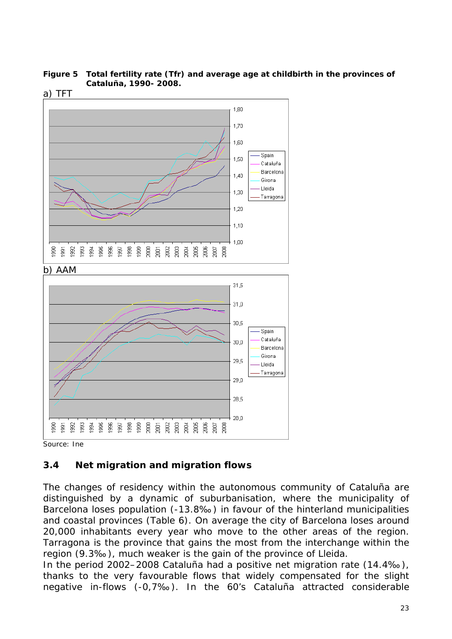**Figure 5 Total fertility rate (Tfr) and average age at childbirth in the provinces of Cataluña, 1990- 2008.** 



Source: Ine

#### **3.4 Net migration and migration flows**

The changes of residency within the autonomous community of Cataluña are distinguished by a dynamic of suburbanisation, where the municipality of Barcelona loses population (-13.8‰) in favour of the hinterland municipalities and coastal provinces (Table 6). On average the city of Barcelona loses around 20,000 inhabitants every year who move to the other areas of the region. Tarragona is the province that gains the most from the interchange within the region (9.3‰), much weaker is the gain of the province of Lleida.

In the period 2002–2008 Cataluña had a positive net migration rate (14.4‰), thanks to the very favourable flows that widely compensated for the slight negative in-flows (-0,7‰). In the 60's Cataluña attracted considerable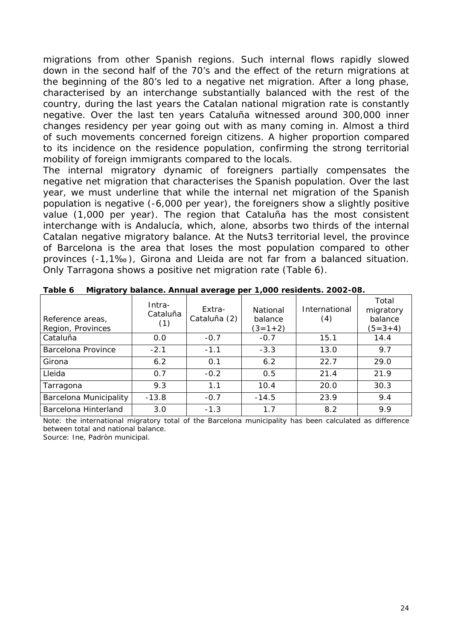migrations from other Spanish regions. Such internal flows rapidly slowed down in the second half of the 70's and the effect of the return migrations at the beginning of the 80's led to a negative net migration. After a long phase, characterised by an interchange substantially balanced with the rest of the country, during the last years the Catalan national migration rate is constantly negative. Over the last ten years Cataluña witnessed around 300,000 inner changes residency per year going out with as many coming in. Almost a third of such movements concerned foreign citizens. A higher proportion compared to its incidence on the residence population, confirming the strong territorial mobility of foreign immigrants compared to the locals.

The internal migratory dynamic of foreigners partially compensates the negative net migration that characterises the Spanish population. Over the last year, we must underline that while the internal net migration of the Spanish population is negative (-6,000 per year), the foreigners show a slightly positive value (1,000 per year). The region that Cataluña has the most consistent interchange with is Andalucía, which, alone, absorbs two thirds of the internal Catalan negative migratory balance. At the Nuts3 territorial level, the province of Barcelona is the area that loses the most population compared to other provinces (-1,1‰), Girona and Lleida are not far from a balanced situation. Only Tarragona shows a positive net migration rate (Table 6).

| Reference areas,<br>Region, Provinces | Intra-<br>Cataluña<br>(1) | Extra-<br>Cataluña (2) | National<br>balance<br>$(3=1+2)$ | International<br>(4) | Total<br>migratory<br>balance<br>$(5=3+4)$ |
|---------------------------------------|---------------------------|------------------------|----------------------------------|----------------------|--------------------------------------------|
| Cataluña                              | 0.0                       | $-0.7$                 | $-0.7$                           | 15.1                 | 14.4                                       |
| Barcelona Province                    | $-2.1$                    | $-1.1$                 | $-3.3$                           | 13.0                 | 9.7                                        |
| Girona                                | 6.2                       | 0.1                    | 6.2                              | 22.7                 | 29.0                                       |
| Lleida                                | 0.7                       | $-0.2$                 | 0.5                              | 21.4                 | 21.9                                       |
| Tarragona                             | 9.3                       | 1.1                    | 10.4                             | 20.0                 | 30.3                                       |
| <b>Barcelona Municipality</b>         | $-13.8$                   | $-0.7$                 | $-14.5$                          | 23.9                 | 9.4                                        |
| Barcelona Hinterland                  | 3.0                       | $-1.3$                 | $1\,7$                           | 8.2                  | 9.9                                        |

**Table 6 Migratory balance. Annual average per 1,000 residents. 2002-08.** 

Note: the international migratory total of the Barcelona municipality has been calculated as difference between total and national balance.

Source: Ine, *Padròn municipal*.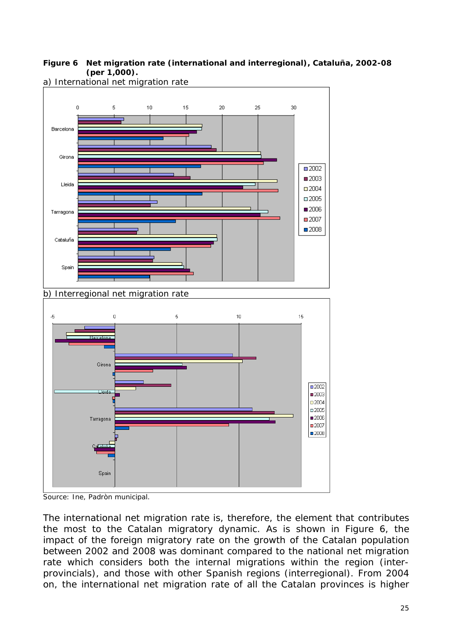#### **Figure 6 Net migration rate (international and interregional), Cataluña, 2002-08 (per 1,000).**



a) International net migration rate

Source: Ine, *Padròn municipal*.

The international net migration rate is, therefore, the element that contributes the most to the Catalan migratory dynamic. As is shown in Figure 6, the impact of the foreign migratory rate on the growth of the Catalan population between 2002 and 2008 was dominant compared to the national net migration rate which considers both the internal migrations within the region (interprovincials), and those with other Spanish regions (interregional). From 2004 on, the international net migration rate of all the Catalan provinces is higher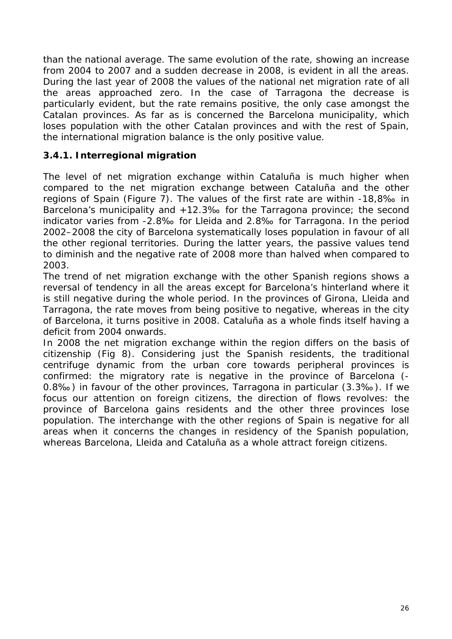than the national average. The same evolution of the rate, showing an increase from 2004 to 2007 and a sudden decrease in 2008, is evident in all the areas. During the last year of 2008 the values of the national net migration rate of all the areas approached zero. In the case of Tarragona the decrease is particularly evident, but the rate remains positive, the only case amongst the Catalan provinces. As far as is concerned the Barcelona municipality, which loses population with the other Catalan provinces and with the rest of Spain, the international migration balance is the only positive value.

### **3.4.1. Interregional migration**

The level of net migration exchange *within Cataluña* is much higher when compared to the net migration exchange *between Cataluña and the other regions of Spain* (Figure 7). The values of the first rate are within -18,8‰ in Barcelona's municipality and +12.3‰ for the Tarragona province; the second indicator varies from -2.8‰ for Lleida and 2.8‰ for Tarragona. In the period 2002–2008 the city of Barcelona systematically loses population in favour of all the other regional territories. During the latter years, the passive values tend to diminish and the negative rate of 2008 more than halved when compared to 2003.

The trend of net migration exchange with the other Spanish regions shows a reversal of tendency in all the areas except for Barcelona's hinterland where it is still negative during the whole period. In the provinces of Girona, Lleida and Tarragona, the rate moves from being positive to negative, whereas in the city of Barcelona, it turns positive in 2008. Cataluña as a whole finds itself having a deficit from 2004 onwards.

In 2008 the net migration exchange within the region differs on the basis of citizenship (Fig 8). Considering just the Spanish residents, the traditional centrifuge dynamic from the urban core towards peripheral provinces is confirmed: the migratory rate is negative in the province of Barcelona (- 0.8‰) in favour of the other provinces, Tarragona in particular (3.3‰). If we focus our attention on foreign citizens, the direction of flows revolves: the province of Barcelona gains residents and the other three provinces lose population. The interchange with the other regions of Spain is negative for all areas when it concerns the changes in residency of the Spanish population, whereas Barcelona, Lleida and Cataluña as a whole attract foreign citizens.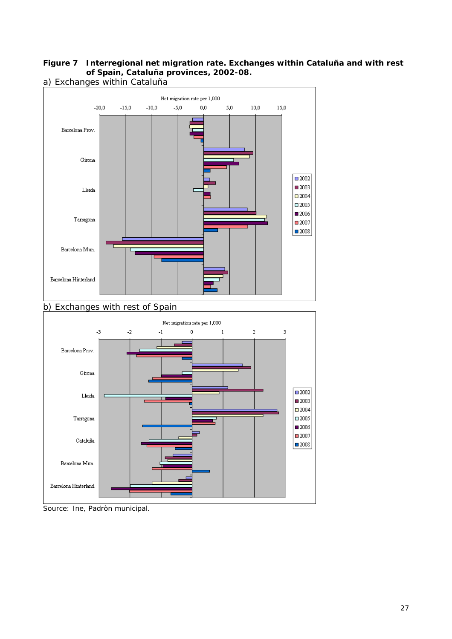#### **Figure 7 Interregional net migration rate. Exchanges within Cataluña and with rest of Spain, Cataluña provinces, 2002-08.**  a) Exchanges within Cataluña



Source: Ine, *Padròn municipal*.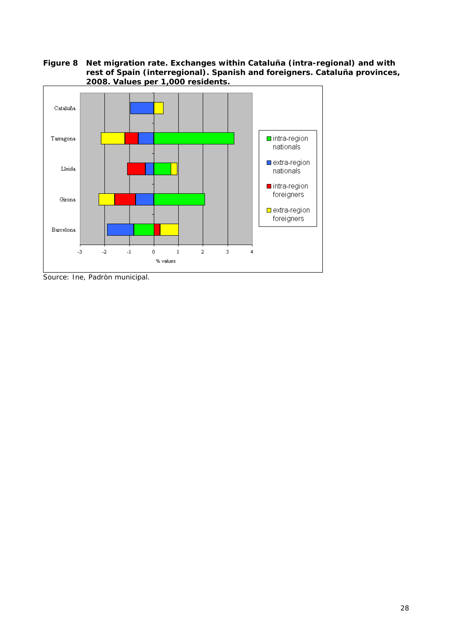**Figure 8 Net migration rate. Exchanges within Cataluña (intra-regional) and with rest of Spain (interregional). Spanish and foreigners. Cataluña provinces, 2008. Values per 1,000 residents.** 



Source: Ine, *Padròn municipal*.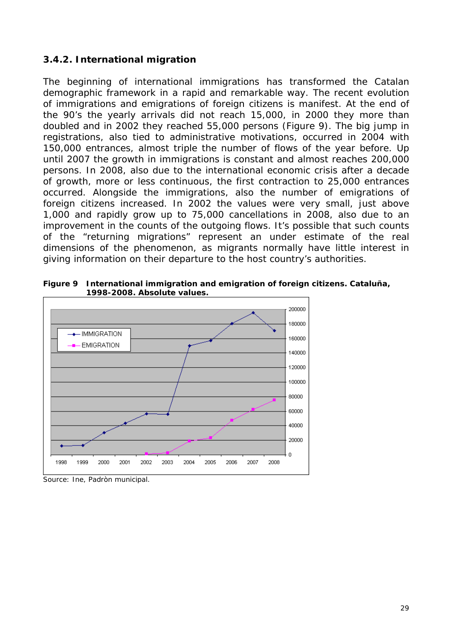#### **3.4.2. International migration**

The beginning of international immigrations has transformed the Catalan demographic framework in a rapid and remarkable way. The recent evolution of immigrations and emigrations of foreign citizens is manifest. At the end of the 90's the yearly arrivals did not reach 15,000, in 2000 they more than doubled and in 2002 they reached 55,000 persons (Figure 9). The big jump in registrations, also tied to administrative motivations, occurred in 2004 with 150,000 entrances, almost triple the number of flows of the year before. Up until 2007 the growth in immigrations is constant and almost reaches 200,000 persons. In 2008, also due to the international economic crisis after a decade of growth, more or less continuous, the first contraction to 25,000 entrances occurred. Alongside the immigrations, also the number of emigrations of foreign citizens increased. In 2002 the values were very small, just above 1,000 and rapidly grow up to 75,000 cancellations in 2008, also due to an improvement in the counts of the outgoing flows. It's possible that such counts of the "returning migrations" represent an under estimate of the real dimensions of the phenomenon, as migrants normally have little interest in giving information on their departure to the host country's authorities.



**Figure 9 International immigration and emigration of foreign citizens. Cataluña, 1998-2008. Absolute values.** 

Source: Ine, *Padròn municipal*.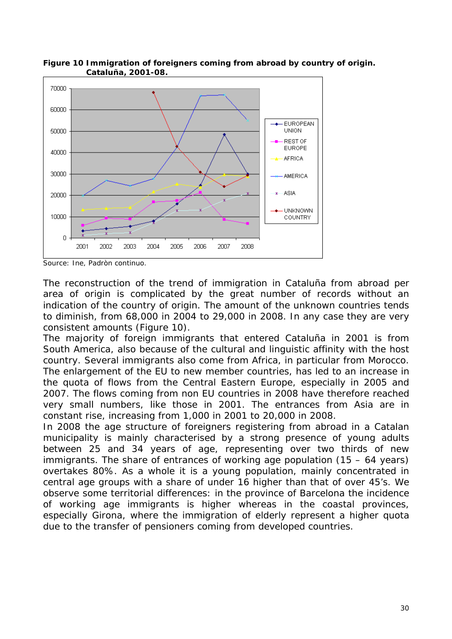

**Figure 10 Immigration of foreigners coming from abroad by country of origin. Cataluña, 2001-08.** 

Source: Ine, *Padròn continuo*.

The reconstruction of the trend of immigration in Cataluña from abroad per area of origin is complicated by the great number of records without an indication of the country of origin. The amount of the unknown countries tends to diminish, from 68,000 in 2004 to 29,000 in 2008. In any case they are very consistent amounts (Figure 10).

The majority of foreign immigrants that entered Cataluña in 2001 is from South America, also because of the cultural and linguistic affinity with the host country. Several immigrants also come from Africa, in particular from Morocco. The enlargement of the EU to new member countries, has led to an increase in the quota of flows from the Central Eastern Europe, especially in 2005 and 2007. The flows coming from non EU countries in 2008 have therefore reached very small numbers, like those in 2001. The entrances from Asia are in constant rise, increasing from 1,000 in 2001 to 20,000 in 2008.

In 2008 the age structure of foreigners registering from abroad in a Catalan municipality is mainly characterised by a strong presence of young adults between 25 and 34 years of age, representing over two thirds of new immigrants. The share of entrances of working age population (15 – 64 years) overtakes 80%. As a whole it is a young population, mainly concentrated in central age groups with a share of under 16 higher than that of over 45's. We observe some territorial differences: in the province of Barcelona the incidence of working age immigrants is higher whereas in the coastal provinces, especially Girona, where the immigration of elderly represent a higher quota due to the transfer of pensioners coming from developed countries.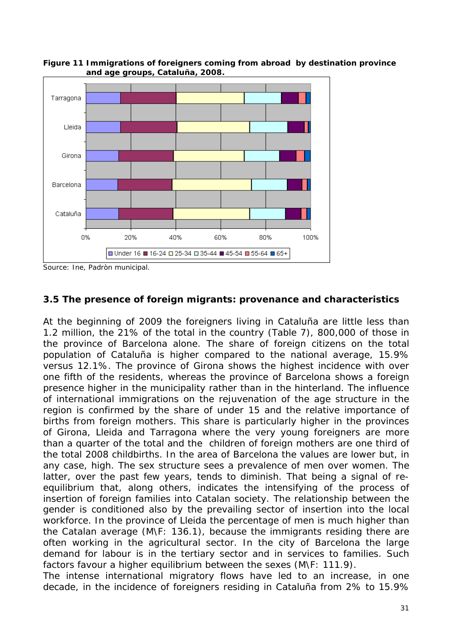

**Figure 11 Immigrations of foreigners coming from abroad by destination province and age groups, Cataluña, 2008.** 

#### **3.5 The presence of foreign migrants: provenance and characteristics**

At the beginning of 2009 the foreigners living in Cataluña are little less than 1.2 million, the 21% of the total in the country (Table 7), 800,000 of those in the province of Barcelona alone. The share of foreign citizens on the total population of Cataluña is higher compared to the national average, 15.9% versus 12.1%. The province of Girona shows the highest incidence with over one fifth of the residents, whereas the province of Barcelona shows a foreign presence higher in the municipality rather than in the hinterland. The influence of international immigrations on the rejuvenation of the age structure in the region is confirmed by the share of under 15 and the relative importance of births from foreign mothers. This share is particularly higher in the provinces of Girona, Lleida and Tarragona where the very young foreigners are more than a quarter of the total and the children of foreign mothers are one third of the total 2008 childbirths. In the area of Barcelona the values are lower but, in any case, high. The sex structure sees a prevalence of men over women. The latter, over the past few years, tends to diminish. That being a signal of reequilibrium that, along others, indicates the intensifying of the process of insertion of foreign families into Catalan society. The relationship between the gender is conditioned also by the prevailing sector of insertion into the local workforce. In the province of Lleida the percentage of men is much higher than the Catalan average (M\F: 136.1), because the immigrants residing there are often working in the agricultural sector. In the city of Barcelona the large demand for labour is in the tertiary sector and in services to families. Such factors favour a higher equilibrium between the sexes (M\F: 111.9).

The intense international migratory flows have led to an increase, in one decade, in the incidence of foreigners residing in Cataluña from 2% to 15.9%

Source: Ine, *Padròn municipal*.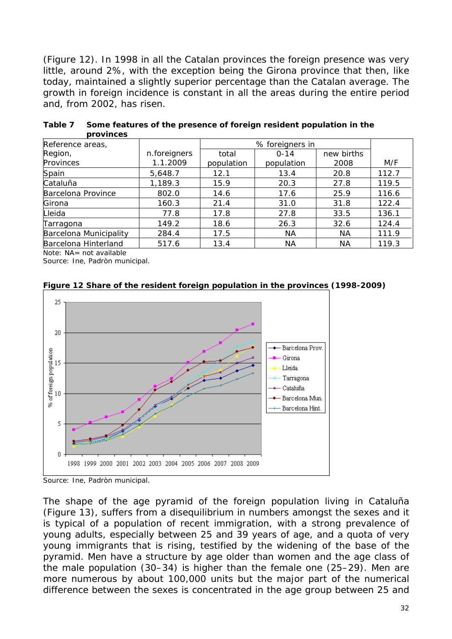(Figure 12). In 1998 in all the Catalan provinces the foreign presence was very little, around 2%, with the exception being the Girona province that then, like today, maintained a slightly superior percentage than the Catalan average. The growth in foreign incidence is constant in all the areas during the entire period and, from 2002, has risen.

| .                      |              |            |                 |            |       |
|------------------------|--------------|------------|-----------------|------------|-------|
| Reference areas,       |              |            | % foreigners in |            |       |
| Region,                | n.foreigners | total      | $0 - 14$        | new births |       |
| Provinces              | 1.1.2009     | population | population      | 2008       | M/F   |
| Spain                  | 5,648.7      | 12.1       | 13.4            | 20.8       | 112.7 |
| Cataluña               | 1,189.3      | 15.9       | 20.3            | 27.8       | 119.5 |
| Barcelona Province     | 802.0        | 14.6       | 17.6            | 25.9       | 116.6 |
| Girona                 | 160.3        | 21.4       | 31.0            | 31.8       | 122.4 |
| Lleida                 | 77.8         | 17.8       | 27.8            | 33.5       | 136.1 |
| Tarragona              | 149.2        | 18.6       | 26.3            | 32.6       | 124.4 |
| Barcelona Municipality | 284.4        | 17.5       | NА              | <b>NA</b>  | 111.9 |
| Barcelona Hinterland   | 517.6        | 13.4       | NА              | NА         | 119.3 |

**Table 7 Some features of the presence of foreign resident population in the provinces** 

Note: NA= not available

Source: Ine, *Padròn municipal*.



**Figure 12 Share of the resident foreign population in the provinces (1998-2009)** 

The shape of the age pyramid of the foreign population living in Cataluña (Figure 13), suffers from a disequilibrium in numbers amongst the sexes and it is typical of a population of recent immigration, with a strong prevalence of young adults, especially between 25 and 39 years of age, and a quota of very young immigrants that is rising, testified by the widening of the base of the pyramid. Men have a structure by age older than women and the age class of the male population (30–34) is higher than the female one (25–29). Men are more numerous by about 100,000 units but the major part of the numerical difference between the sexes is concentrated in the age group between 25 and

Source: Ine, *Padròn municipal*.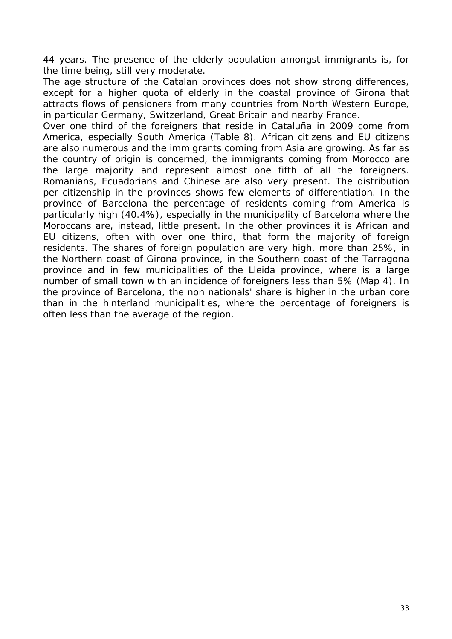44 years. The presence of the elderly population amongst immigrants is, for the time being, still very moderate.

The age structure of the Catalan provinces does not show strong differences, except for a higher quota of elderly in the coastal province of Girona that attracts flows of pensioners from many countries from North Western Europe, in particular Germany, Switzerland, Great Britain and nearby France.

Over one third of the foreigners that reside in Cataluña in 2009 come from America, especially South America (Table 8). African citizens and EU citizens are also numerous and the immigrants coming from Asia are growing. As far as the country of origin is concerned, the immigrants coming from Morocco are the large majority and represent almost one fifth of all the foreigners. Romanians, Ecuadorians and Chinese are also very present. The distribution per citizenship in the provinces shows few elements of differentiation. In the province of Barcelona the percentage of residents coming from America is particularly high (40.4%), especially in the municipality of Barcelona where the Moroccans are, instead, little present. In the other provinces it is African and EU citizens, often with over one third, that form the majority of foreign residents. The shares of foreign population are very high, more than 25%, in the Northern coast of Girona province, in the Southern coast of the Tarragona province and in few municipalities of the Lleida province, where is a large number of small town with an incidence of foreigners less than 5% (Map 4). In the province of Barcelona, the non nationals' share is higher in the urban core than in the hinterland municipalities, where the percentage of foreigners is often less than the average of the region.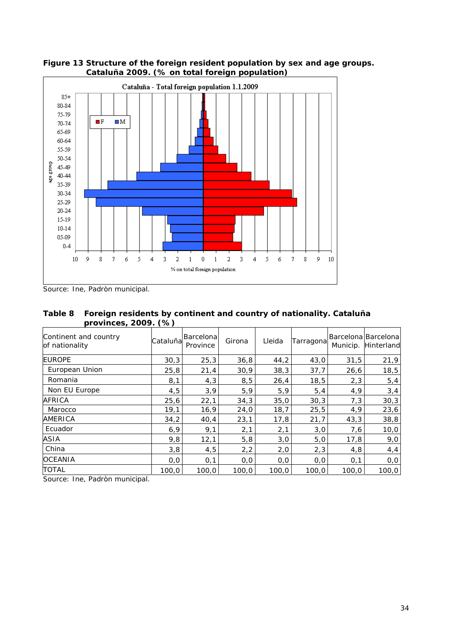

**Figure 13 Structure of the foreign resident population by sex and age groups. Cataluña 2009. (% on total foreign population)** 

Source: Ine, *Padròn municipal*.

| Table 8 Foreign residents by continent and country of nationality. Cataluña |
|-----------------------------------------------------------------------------|
| provinces, 2009. (%)                                                        |

| Continent and country<br>of nationality | Cataluña | Barcelonal<br>Province | Girona | Lleida | Tarragona |       | Barcelona Barcelona<br>Municip. Hinterland |
|-----------------------------------------|----------|------------------------|--------|--------|-----------|-------|--------------------------------------------|
| <b>EUROPE</b>                           | 30,3     | 25,3                   | 36,8   | 44,2   | 43,0      | 31,5  | 21,9                                       |
| European Union                          | 25,8     | 21,4                   | 30,9   | 38,3   | 37,7      | 26,6  | 18,5                                       |
| Romania                                 | 8,1      | 4,3                    | 8,5    | 26, 4  | 18, 5     | 2,3   | 5,4                                        |
| Non EU Europe                           | 4,5      | 3,9                    | 5,9    | 5,9    | 5,4       | 4,9   | 3,4                                        |
| AFRICA                                  | 25,6     | 22,1                   | 34,3   | 35,0   | 30,3      | 7,3   | 30,3                                       |
| Marocco                                 | 19,1     | 16, 9                  | 24,0   | 18, 7  | 25,5      | 4, 9  | 23,6                                       |
| AMERICA                                 | 34,2     | 40,4                   | 23,1   | 17,8   | 21,7      | 43,3  | 38,8                                       |
| Ecuador                                 | 6, 9     | 9,1                    | 2,1    | 2,1    | 3,0       | 7,6   | 10,0                                       |
| ASIA                                    | 9,8      | 12,1                   | 5,8    | 3,0    | 5,0       | 17,8  | 9,0                                        |
| China                                   | 3,8      | 4,5                    | 2,2    | 2,0    | 2,3       | 4,8   | 4, 4                                       |
| <b>OCEANIA</b>                          | 0,0      | 0,1                    | 0,0    | 0, 0   | 0, 0      | 0,1   | 0, 0                                       |
| <b>TOTAL</b>                            | 100,0    | 100,0                  | 100,0  | 100,0  | 100,0     | 100,0 | 100,0                                      |

Source: Ine, *Padròn municipal*.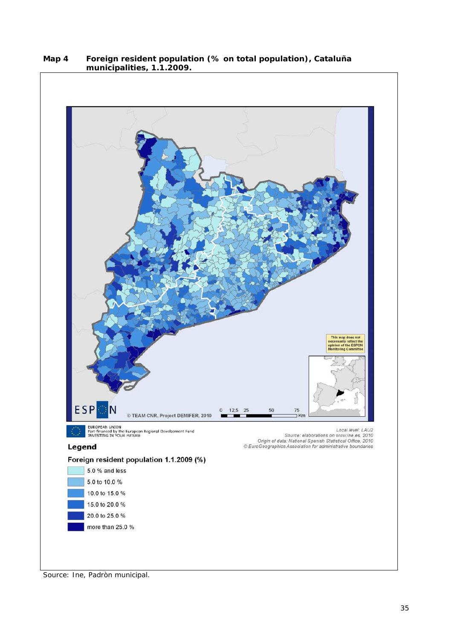

**Map 4 Foreign resident population (% on total population), Cataluña municipalities, 1.1.2009.** 

Source: Ine, *Padròn municipal*.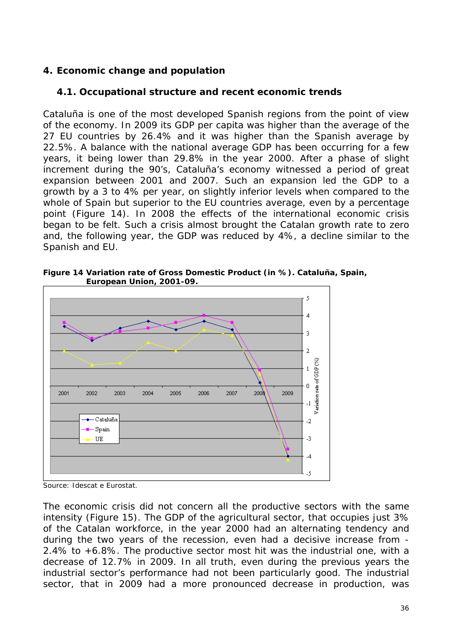#### **4. Economic change and population**

#### **4.1. Occupational structure and recent economic trends**

Cataluña is one of the most developed Spanish regions from the point of view of the economy. In 2009 its GDP per capita was higher than the average of the 27 EU countries by 26.4% and it was higher than the Spanish average by 22.5%. A balance with the national average GDP has been occurring for a few years, it being lower than 29.8% in the year 2000. After a phase of slight increment during the 90's, Cataluña's economy witnessed a period of great expansion between 2001 and 2007. Such an expansion led the GDP to a growth by a 3 to 4% per year, on slightly inferior levels when compared to the whole of Spain but superior to the EU countries average, even by a percentage point (Figure 14). In 2008 the effects of the international economic crisis began to be felt. Such a crisis almost brought the Catalan growth rate to zero and, the following year, the GDP was reduced by 4%, a decline similar to the Spanish and EU.





Source: Idescat e Eurostat.

The economic crisis did not concern all the productive sectors with the same intensity (Figure 15). The GDP of the agricultural sector, that occupies just 3% of the Catalan workforce, in the year 2000 had an alternating tendency and during the two years of the recession, even had a decisive increase from - 2.4% to +6.8%. The productive sector most hit was the industrial one, with a decrease of 12.7% in 2009. In all truth, even during the previous years the industrial sector's performance had not been particularly good. The industrial sector, that in 2009 had a more pronounced decrease in production, was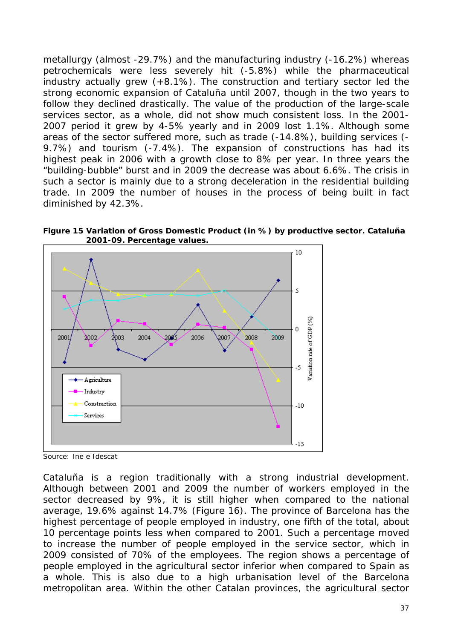metallurgy (almost -29.7%) and the manufacturing industry (-16.2%) whereas petrochemicals were less severely hit (-5.8%) while the pharmaceutical industry actually grew (+8.1%). The construction and tertiary sector led the strong economic expansion of Cataluña until 2007, though in the two years to follow they declined drastically. The value of the production of the large-scale services sector, as a whole, did not show much consistent loss. In the 2001- 2007 period it grew by 4-5% yearly and in 2009 lost 1.1%. Although some areas of the sector suffered more, such as trade (-14.8%), building services (- 9.7%) and tourism (-7.4%). The expansion of constructions has had its highest peak in 2006 with a growth close to 8% per year. In three years the "building-bubble" burst and in 2009 the decrease was about 6.6%. The crisis in such a sector is mainly due to a strong deceleration in the residential building trade. In 2009 the number of houses in the process of being built in fact diminished by 42.3%.

**Figure 15 Variation of Gross Domestic Product (in %) by productive sector. Cataluña 2001-09. Percentage values.** 



Source: Ine e Idescat

Cataluña is a region traditionally with a strong industrial development. Although between 2001 and 2009 the number of workers employed in the sector decreased by 9%, it is still higher when compared to the national average, 19.6% against 14.7% (Figure 16). The province of Barcelona has the highest percentage of people employed in industry, one fifth of the total, about 10 percentage points less when compared to 2001. Such a percentage moved to increase the number of people employed in the service sector, which in 2009 consisted of 70% of the employees. The region shows a percentage of people employed in the agricultural sector inferior when compared to Spain as a whole. This is also due to a high urbanisation level of the Barcelona metropolitan area. Within the other Catalan provinces, the agricultural sector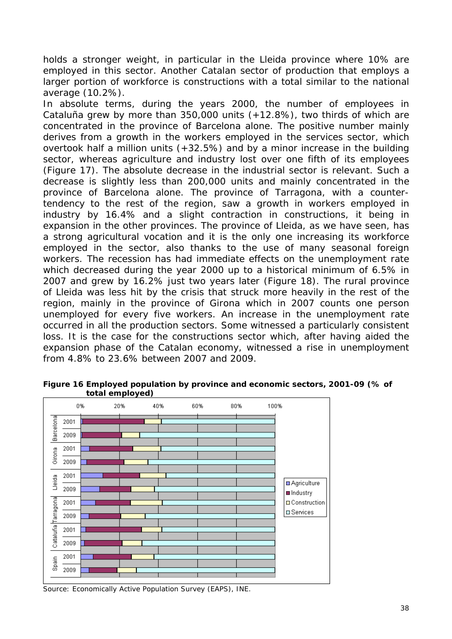holds a stronger weight, in particular in the Lleida province where 10% are employed in this sector. Another Catalan sector of production that employs a larger portion of workforce is constructions with a total similar to the national average (10.2%).

In absolute terms, during the years 2000, the number of employees in Cataluña grew by more than 350,000 units (+12.8%), two thirds of which are concentrated in the province of Barcelona alone. The positive number mainly derives from a growth in the workers employed in the services sector, which overtook half a million units (+32.5%) and by a minor increase in the building sector, whereas agriculture and industry lost over one fifth of its employees (Figure 17). The absolute decrease in the industrial sector is relevant. Such a decrease is slightly less than 200,000 units and mainly concentrated in the province of Barcelona alone. The province of Tarragona, with a countertendency to the rest of the region, saw a growth in workers employed in industry by 16.4% and a slight contraction in constructions, it being in expansion in the other provinces. The province of Lleida, as we have seen, has a strong agricultural vocation and it is the only one increasing its workforce employed in the sector, also thanks to the use of many seasonal foreign workers. The recession has had immediate effects on the unemployment rate which decreased during the year 2000 up to a historical minimum of 6.5% in 2007 and grew by 16.2% just two years later (Figure 18). The rural province of Lleida was less hit by the crisis that struck more heavily in the rest of the region, mainly in the province of Girona which in 2007 counts one person unemployed for every five workers. An increase in the unemployment rate occurred in all the production sectors. Some witnessed a particularly consistent loss. It is the case for the constructions sector which, after having aided the expansion phase of the Catalan economy, witnessed a rise in unemployment from 4.8% to 23.6% between 2007 and 2009.



**Figure 16 Employed population by province and economic sectors, 2001-09 (% of total employed)** 

Source: Economically Active Population Survey (EAPS), INE.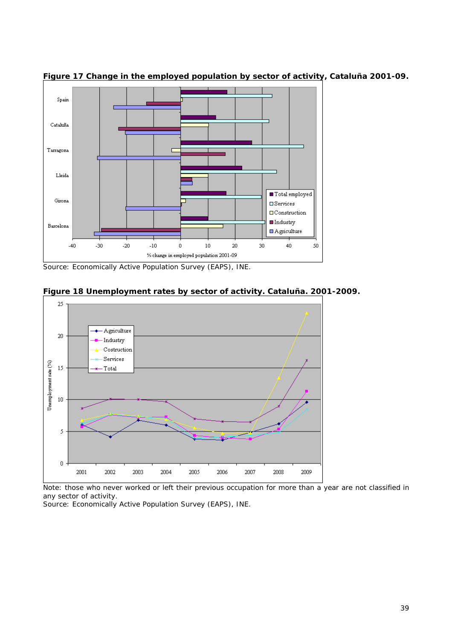

**Figure 17 Change in the employed population by sector of activity, Cataluña 2001-09.** 

Source: Economically Active Population Survey (EAPS), INE.



#### **Figure 18 Unemployment rates by sector of activity. Cataluña. 2001-2009.**

Note: those who never worked or left their previous occupation for more than a year are not classified in any sector of activity.

Source: Economically Active Population Survey (EAPS), INE.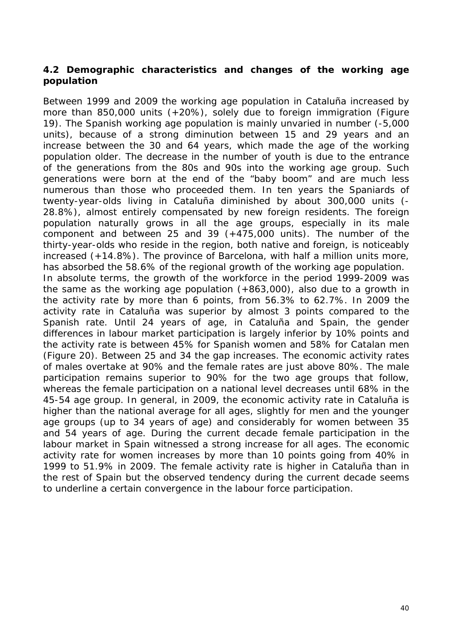#### **4.2 Demographic characteristics and changes of the working age population**

Between 1999 and 2009 the working age population in Cataluña increased by more than 850,000 units (+20%), solely due to foreign immigration (Figure 19). The Spanish working age population is mainly unvaried in number (-5,000 units), because of a strong diminution between 15 and 29 years and an increase between the 30 and 64 years, which made the age of the working population older. The decrease in the number of youth is due to the entrance of the generations from the 80s and 90s into the working age group. Such generations were born at the end of the "baby boom" and are much less numerous than those who proceeded them. In ten years the Spaniards of twenty-year-olds living in Cataluña diminished by about 300,000 units (- 28.8%), almost entirely compensated by new foreign residents. The foreign population naturally grows in all the age groups, especially in its male component and between 25 and 39  $(+475,000$  units). The number of the thirty-year-olds who reside in the region, both native and foreign, is noticeably increased (+14.8%). The province of Barcelona, with half a million units more, has absorbed the 58.6% of the regional growth of the working age population. In absolute terms, the growth of the workforce in the period 1999-2009 was the same as the working age population (+863,000), also due to a growth in the activity rate by more than 6 points, from 56.3% to 62.7%. In 2009 the activity rate in Cataluña was superior by almost 3 points compared to the Spanish rate. Until 24 years of age, in Cataluña and Spain, the gender differences in labour market participation is largely inferior by 10% points and the activity rate is between 45% for Spanish women and 58% for Catalan men (Figure 20). Between 25 and 34 the gap increases. The economic activity rates of males overtake at 90% and the female rates are just above 80%. The male participation remains superior to 90% for the two age groups that follow, whereas the female participation on a national level decreases until 68% in the 45-54 age group. In general, in 2009, the economic activity rate in Cataluña is higher than the national average for all ages, slightly for men and the younger age groups (up to 34 years of age) and considerably for women between 35 and 54 years of age. During the current decade female participation in the labour market in Spain witnessed a strong increase for all ages. The economic activity rate for women increases by more than 10 points going from 40% in 1999 to 51.9% in 2009. The female activity rate is higher in Cataluña than in the rest of Spain but the observed tendency during the current decade seems to underline a certain convergence in the labour force participation.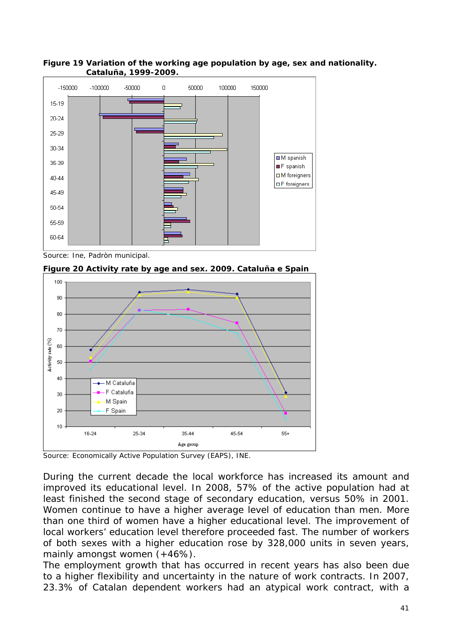

**Figure 19 Variation of the working age population by age, sex and nationality. Cataluña, 1999-2009.** 

Source: Ine, Padròn municipal.





Source: Economically Active Population Survey (EAPS), INE.

During the current decade the local workforce has increased its amount and improved its educational level. In 2008, 57% of the active population had at least finished the second stage of secondary education, versus 50% in 2001. Women continue to have a higher average level of education than men. More than one third of women have a higher educational level. The improvement of local workers' education level therefore proceeded fast. The number of workers of both sexes with a higher education rose by 328,000 units in seven years, mainly amongst women (+46%).

The employment growth that has occurred in recent years has also been due to a higher flexibility and uncertainty in the nature of work contracts. In 2007, 23.3% of Catalan dependent workers had an atypical work contract, with a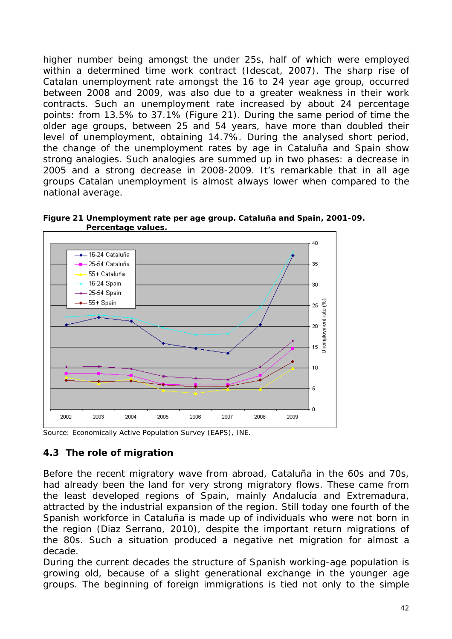higher number being amongst the under 25s, half of which were employed within a determined time work contract (Idescat, 2007). The sharp rise of Catalan unemployment rate amongst the 16 to 24 year age group, occurred between 2008 and 2009, was also due to a greater weakness in their work contracts. Such an unemployment rate increased by about 24 percentage points: from 13.5% to 37.1% (Figure 21). During the same period of time the older age groups, between 25 and 54 years, have more than doubled their level of unemployment, obtaining 14.7%. During the analysed short period, the change of the unemployment rates by age in Cataluña and Spain show strong analogies. Such analogies are summed up in two phases: a decrease in 2005 and a strong decrease in 2008-2009. It's remarkable that in all age groups Catalan unemployment is almost always lower when compared to the national average.



**Figure 21 Unemployment rate per age group. Cataluña and Spain, 2001-09. Percentage values.** 

Source: Economically Active Population Survey (EAPS), INE.

#### **4.3 The role of migration**

Before the recent migratory wave from abroad, Cataluña in the 60s and 70s, had already been the land for very strong migratory flows. These came from the least developed regions of Spain, mainly Andalucía and Extremadura, attracted by the industrial expansion of the region. Still today one fourth of the Spanish workforce in Cataluña is made up of individuals who were not born in the region (Diaz Serrano, 2010), despite the important return migrations of the 80s. Such a situation produced a negative net migration for almost a decade.

During the current decades the structure of Spanish working-age population is growing old, because of a slight generational exchange in the younger age groups. The beginning of foreign immigrations is tied not only to the simple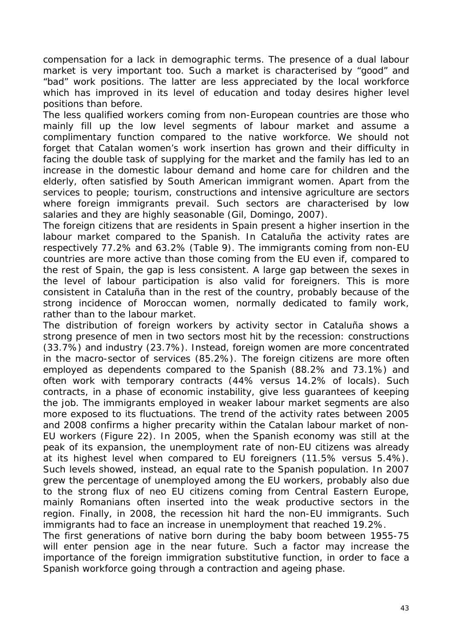compensation for a lack in demographic terms. The presence of a dual labour market is very important too. Such a market is characterised by "good" and "bad" work positions. The latter are less appreciated by the local workforce which has improved in its level of education and today desires higher level positions than before.

The less qualified workers coming from non-European countries are those who mainly fill up the low level segments of labour market and assume a complimentary function compared to the native workforce. We should not forget that Catalan women's work insertion has grown and their difficulty in facing the double task of supplying for the market and the family has led to an increase in the domestic labour demand and home care for children and the elderly, often satisfied by South American immigrant women. Apart from the services to people; tourism, constructions and intensive agriculture are sectors where foreign immigrants prevail. Such sectors are characterised by low salaries and they are highly seasonable (Gil, Domingo, 2007).

The foreign citizens that are residents in Spain present a higher insertion in the labour market compared to the Spanish. In Cataluña the activity rates are respectively 77.2% and 63.2% (Table 9). The immigrants coming from non-EU countries are more active than those coming from the EU even if, compared to the rest of Spain, the gap is less consistent. A large gap between the sexes in the level of labour participation is also valid for foreigners. This is more consistent in Cataluña than in the rest of the country, probably because of the strong incidence of Moroccan women, normally dedicated to family work, rather than to the labour market.

The distribution of foreign workers by activity sector in Cataluña shows a strong presence of men in two sectors most hit by the recession: constructions (33.7%) and industry (23.7%). Instead, foreign women are more concentrated in the macro-sector of services (85.2%). The foreign citizens are more often employed as dependents compared to the Spanish (88.2% and 73.1%) and often work with temporary contracts (44% versus 14.2% of locals). Such contracts, in a phase of economic instability, give less guarantees of keeping the job. The immigrants employed in weaker labour market segments are also more exposed to its fluctuations. The trend of the activity rates between 2005 and 2008 confirms a higher precarity within the Catalan labour market of non-EU workers (Figure 22). In 2005, when the Spanish economy was still at the peak of its expansion, the unemployment rate of non-EU citizens was already at its highest level when compared to EU foreigners (11.5% versus 5.4%). Such levels showed, instead, an equal rate to the Spanish population. In 2007 grew the percentage of unemployed among the EU workers, probably also due to the strong flux of neo EU citizens coming from Central Eastern Europe, mainly Romanians often inserted into the weak productive sectors in the region. Finally, in 2008, the recession hit hard the non-EU immigrants. Such immigrants had to face an increase in unemployment that reached 19.2%.

The first generations of native born during the baby boom between 1955-75 will enter pension age in the near future. Such a factor may increase the importance of the foreign immigration substitutive function, in order to face a Spanish workforce going through a contraction and ageing phase.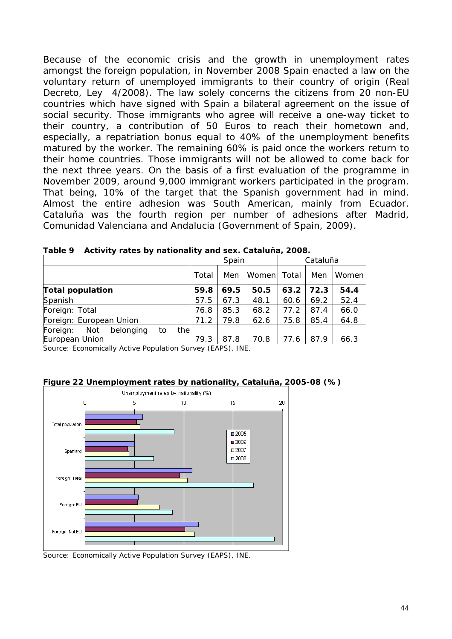Because of the economic crisis and the growth in unemployment rates amongst the foreign population, in November 2008 Spain enacted a law on the voluntary return of unemployed immigrants to their country of origin (Real Decreto, Ley 4/2008). The law solely concerns the citizens from 20 non-EU countries which have signed with Spain a bilateral agreement on the issue of social security. Those immigrants who agree will receive a one-way ticket to their country, a contribution of 50 Euros to reach their hometown and, especially, a repatriation bonus equal to 40% of the unemployment benefits matured by the worker. The remaining 60% is paid once the workers return to their home countries. Those immigrants will not be allowed to come back for the next three years. On the basis of a first evaluation of the programme in November 2009, around 9,000 immigrant workers participated in the program. That being, 10% of the target that the Spanish government had in mind. Almost the entire adhesion was South American, mainly from Ecuador. Cataluña was the fourth region per number of adhesions after Madrid, Comunidad Valenciana and Andalucia (Government of Spain, 2009).

|                                           | Spain |      |       | Cataluña |      |         |
|-------------------------------------------|-------|------|-------|----------|------|---------|
|                                           | Total | Men  | Women | Total    | Men  | Women I |
| <b>Total population</b>                   | 59.8  | 69.5 | 50.5  | 63.2     | 72.3 | 54.4    |
| Spanish                                   | 57.5  | 67.3 | 48.1  | 60.6     | 69.2 | 52.4    |
| Foreign: Total                            | 76.8  | 85.3 | 68.2  | 77.2     | 87.4 | 66.0    |
| Foreign: European Union                   | 71.2  | 79.8 | 62.6  | 75.8     | 85.4 | 64.8    |
| Foreign:<br>the<br>Not<br>belonging<br>to |       |      |       |          |      |         |
| European Union                            | 79.3  | 87.8 | 70.8  | 77.6     | 87.9 | 66.3    |

| Table 9 Activity rates by nationality and sex. Cataluña, 2008. |  |
|----------------------------------------------------------------|--|
|                                                                |  |

Source: *Economically Active Population Survey (EAPS)*, INE.



**Figure 22 Unemployment rates by nationality, Cataluña, 2005-08 (%)** 

Source: Economically Active Population Survey (EAPS), INE.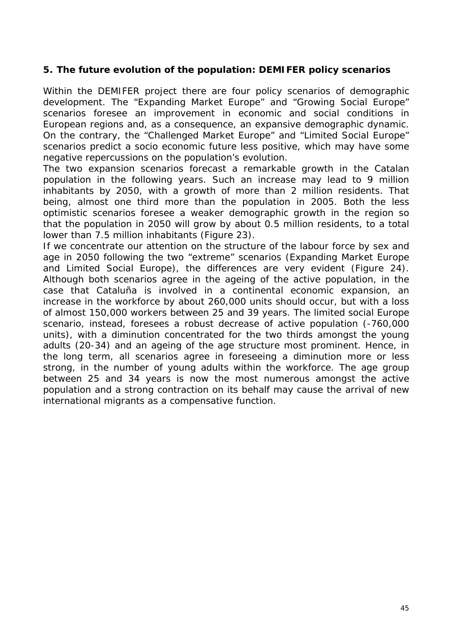#### **5. The future evolution of the population: DEMIFER policy scenarios**

Within the DEMIFER project there are four policy scenarios of demographic development. The "Expanding Market Europe" and "Growing Social Europe" scenarios foresee an improvement in economic and social conditions in European regions and, as a consequence, an expansive demographic dynamic. On the contrary, the "Challenged Market Europe" and "Limited Social Europe" scenarios predict a socio economic future less positive, which may have some negative repercussions on the population's evolution.

The two expansion scenarios forecast a remarkable growth in the Catalan population in the following years. Such an increase may lead to 9 million inhabitants by 2050, with a growth of more than 2 million residents. That being, almost one third more than the population in 2005. Both the less optimistic scenarios foresee a weaker demographic growth in the region so that the population in 2050 will grow by about 0.5 million residents, to a total lower than 7.5 million inhabitants (Figure 23).

If we concentrate our attention on the structure of the labour force by sex and age in 2050 following the two "extreme" scenarios (Expanding Market Europe and Limited Social Europe), the differences are very evident (Figure 24). Although both scenarios agree in the ageing of the active population, in the case that Cataluña is involved in a continental economic expansion, an increase in the workforce by about 260,000 units should occur, but with a loss of almost 150,000 workers between 25 and 39 years. The limited social Europe scenario, instead, foresees a robust decrease of active population (-760,000 units), with a diminution concentrated for the two thirds amongst the young adults (20-34) and an ageing of the age structure most prominent. Hence, in the long term, all scenarios agree in foreseeing a diminution more or less strong, in the number of young adults within the workforce. The age group between 25 and 34 years is now the most numerous amongst the active population and a strong contraction on its behalf may cause the arrival of new international migrants as a compensative function.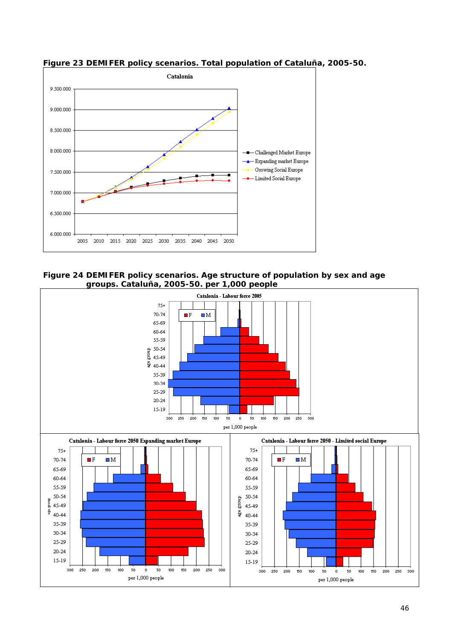

**Figure 23 DEMIFER policy scenarios. Total population of Cataluña, 2005-50.** 



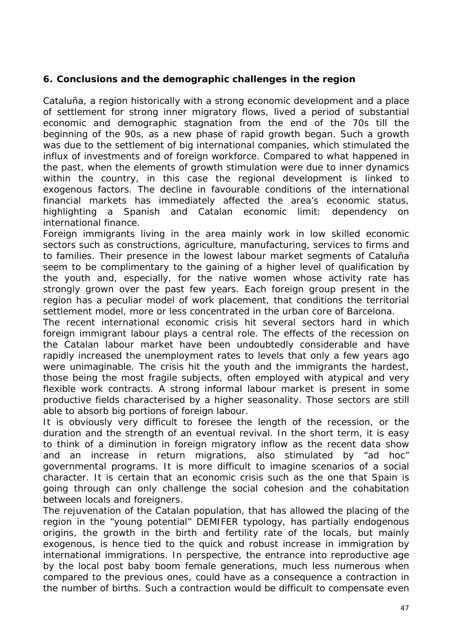#### **6. Conclusions and the demographic challenges in the region**

Cataluña, a region historically with a strong economic development and a place of settlement for strong inner migratory flows, lived a period of substantial economic and demographic stagnation from the end of the 70s till the beginning of the 90s, as a new phase of rapid growth began. Such a growth was due to the settlement of big international companies, which stimulated the influx of investments and of foreign workforce. Compared to what happened in the past, when the elements of growth stimulation were due to inner dynamics within the country, in this case the regional development is linked to exogenous factors. The decline in favourable conditions of the international financial markets has immediately affected the area's economic status, highlighting a Spanish and Catalan economic limit: dependency on international finance.

Foreign immigrants living in the area mainly work in low skilled economic sectors such as constructions, agriculture, manufacturing, services to firms and to families. Their presence in the lowest labour market segments of Cataluña seem to be complimentary to the gaining of a higher level of qualification by the youth and, especially, for the native women whose activity rate has strongly grown over the past few years. Each foreign group present in the region has a peculiar model of work placement, that conditions the territorial settlement model, more or less concentrated in the urban core of Barcelona.

The recent international economic crisis hit several sectors hard in which foreign immigrant labour plays a central role. The effects of the recession on the Catalan labour market have been undoubtedly considerable and have rapidly increased the unemployment rates to levels that only a few years ago were unimaginable. The crisis hit the youth and the immigrants the hardest, those being the most fragile subjects, often employed with atypical and very flexible work contracts. A strong informal labour market is present in some productive fields characterised by a higher seasonality. Those sectors are still able to absorb big portions of foreign labour.

It is obviously very difficult to foresee the length of the recession, or the duration and the strength of an eventual revival. In the short term, it is easy to think of a diminution in foreign migratory inflow as the recent data show and an increase in return migrations, also stimulated by "ad hoc" governmental programs. It is more difficult to imagine scenarios of a social character. It is certain that an economic crisis such as the one that Spain is going through can only challenge the social cohesion and the cohabitation between locals and foreigners.

The rejuvenation of the Catalan population, that has allowed the placing of the region in the "young potential" DEMIFER typology, has partially endogenous origins, the growth in the birth and fertility rate of the locals, but mainly exogenous, is hence tied to the quick and robust increase in immigration by international immigrations. In perspective, the entrance into reproductive age by the local post baby boom female generations, much less numerous when compared to the previous ones, could have as a consequence a contraction in the number of births. Such a contraction would be difficult to compensate even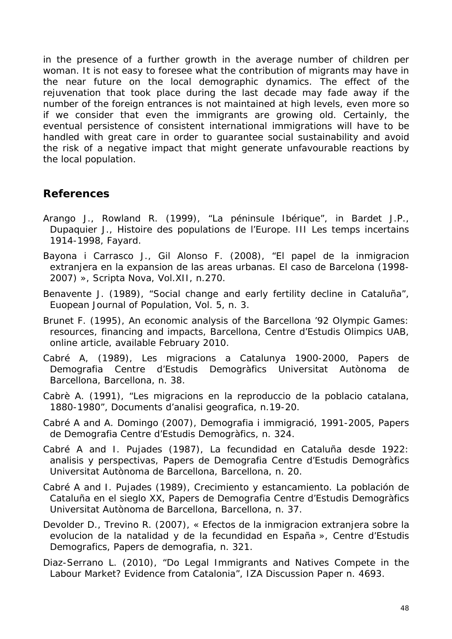in the presence of a further growth in the average number of children per woman. It is not easy to foresee what the contribution of migrants may have in the near future on the local demographic dynamics. The effect of the rejuvenation that took place during the last decade may fade away if the number of the foreign entrances is not maintained at high levels, even more so if we consider that even the immigrants are growing old. Certainly, the eventual persistence of consistent international immigrations will have to be handled with great care in order to guarantee social sustainability and avoid the risk of a negative impact that might generate unfavourable reactions by the local population.

### **References**

- Arango J., Rowland R. (1999), "La péninsule Ibérique", in Bardet J.P., Dupaquier J., *Histoire des populations de l'Europe. III Les temps incertains 1914-1998*, Fayard.
- Bayona i Carrasco J., Gil Alonso F. (2008), "El papel de la inmigracion extranjera en la expansion de las areas urbanas. El caso de Barcelona (1998- 2007) », *Scripta Nova*, Vol.XII, n.270.
- Benavente J. (1989), "Social change and early fertility decline in Cataluña", *Euopean Journal of Population*, Vol. 5, n. 3.
- Brunet F. (1995), *An economic analysis of the Barcellona '92 Olympic Games: resources, financing and impacts*, Barcellona, Centre d'Estudis Olimpics UAB, online article, available February 2010.
- Cabré A, (1989), *Les migracions a Catalunya 1900-2000*, Papers de Demografia Centre d'Estudis Demogràfics Universitat Autònoma de Barcellona, Barcellona, n. 38.
- Cabrè A. (1991), "Les migracions en la reproduccio de la poblacio catalana, 1880-1980", *Documents d'analisi geografica*, n.19-20.
- Cabré A and A. Domingo (2007), *Demografia i immigració, 1991-2005*, Papers de Demografia Centre d'Estudis Demogràfics, n. 324.
- Cabré A and I. Pujades (1987), *La fecundidad en Cataluña desde 1922: analisis y perspectivas*, Papers de Demografia Centre d'Estudis Demogràfics Universitat Autònoma de Barcellona, Barcellona, n. 20.
- Cabré A and I. Pujades (1989), *Crecimiento y estancamiento. La población de Cataluña en el sieglo XX*, Papers de Demografia Centre d'Estudis Demogràfics Universitat Autònoma de Barcellona, Barcellona, n. 37.
- Devolder D., Trevino R. (2007), « Efectos de la inmigracion extranjera sobre la evolucion de la natalidad y de la fecundidad en España », Centre d'Estudis Demografics, *Papers de demografia*, n. 321.
- Diaz-Serrano L. (2010), "Do Legal Immigrants and Natives Compete in the Labour Market? Evidence from Catalonia", IZA Discussion Paper n. 4693.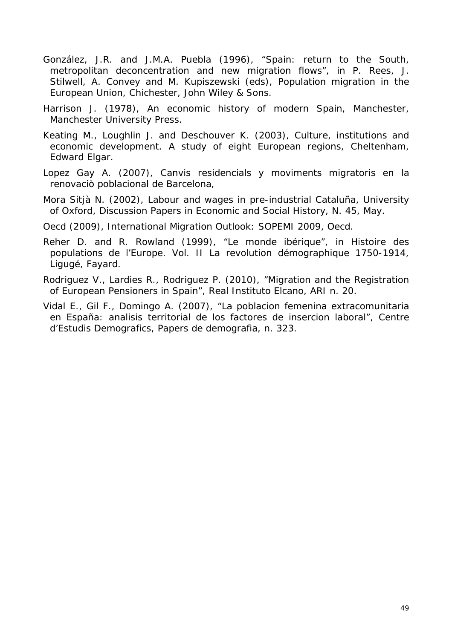- González, J.R. and J.M.A. Puebla (1996), *"Spain: return to the South, metropolitan deconcentration and new migration flows", in P. Rees, J. Stilwell, A. Convey and M. Kupiszewski (eds), Population migration in the European Union, Chichester, John Wiley & Sons.*
- Harrison J. (1978), *An economic history of modern Spain*, Manchester, Manchester University Press.
- Keating M., Loughlin J. and Deschouver K. (2003), *Culture, institutions and economic development. A study of eight European regions*, Cheltenham, Edward Elgar.
- Lopez Gay A. (2007), *Canvis residencials y moviments migratoris en la renovaciò poblacional de Barcelona*,
- Mora Sitjà N. (2002), *Labour and wages in pre-industrial Cataluña*, University of Oxford, Discussion Papers in Economic and Social History, N. 45, May.
- Oecd (2009), *International Migration Outlook: SOPEMI 2009,* Oecd.
- Reher D. and R. Rowland (1999), "Le monde ibérique", in *Histoire des populations de l'Europe. Vol. II La revolution démographique 1750-1914*, Ligugé, Fayard.
- Rodriguez V., Lardies R., Rodriguez P. (2010), "Migration and the Registration of European Pensioners in Spain", Real Instituto Elcano, ARI n. 20.
- Vidal E., Gil F., Domingo A. (2007), "La poblacion femenina extracomunitaria en España: analisis territorial de los factores de insercion laboral", Centre d'Estudis Demografics, *Papers de demografia*, n. 323.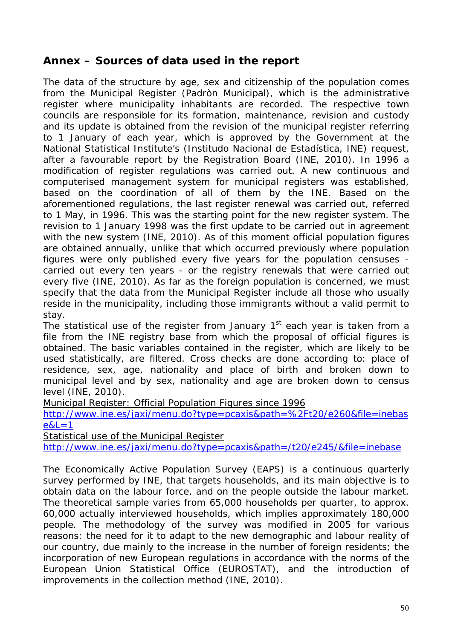### **Annex – Sources of data used in the report**

The data of the structure by age, sex and citizenship of the population comes from the *Municipal Register* (*Padròn Municipal*), which is the administrative register where municipality inhabitants are recorded. The respective town councils are responsible for its formation, maintenance, revision and custody and its update is obtained from the revision of the municipal register referring to 1 January of each year, which is approved by the Government at the National Statistical Institute's (*Institudo Nacional de Estadística*, INE) request, after a favourable report by the Registration Board (INE, 2010). In 1996 a modification of register regulations was carried out. A new continuous and computerised management system for municipal registers was established, based on the coordination of all of them by the INE. Based on the aforementioned regulations, the last register renewal was carried out, referred to 1 May, in 1996. This was the starting point for the new register system. The revision to 1 January 1998 was the first update to be carried out in agreement with the new system (INE, 2010). As of this moment official population figures are obtained annually, unlike that which occurred previously where population figures were only published every five years for the population censuses carried out every ten years - or the registry renewals that were carried out every five (INE, 2010). As far as the foreign population is concerned, we must specify that the data from the Municipal Register include all those who usually reside in the municipality, including those immigrants without a valid permit to stay.

The statistical use of the register from January  $1<sup>st</sup>$  each year is taken from a file from the INE registry base from which the proposal of official figures is obtained. The basic variables contained in the register, which are likely to be used statistically, are filtered. Cross checks are done according to: place of residence, sex, age, nationality and place of birth and broken down to municipal level and by sex, nationality and age are broken down to census level (INE, 2010).

Municipal Register: Official Population Figures since 1996

http://www.ine.es/jaxi/menu.do?type=pcaxis&path=%2Ft20/e260&file=inebas  $e&L=1$ 

Statistical use of the Municipal Register

http://www.ine.es/jaxi/menu.do?type=pcaxis&path=/t20/e245/&file=inebase

The *Economically Active Population Survey (EAPS)* is a continuous quarterly survey performed by INE, that targets households, and its main objective is to obtain data on the labour force, and on the people outside the labour market. The theoretical sample varies from 65,000 households per quarter, to approx. 60,000 actually interviewed households, which implies approximately 180,000 people. The methodology of the survey was modified in 2005 for various reasons: the need for it to adapt to the new demographic and labour reality of our country, due mainly to the increase in the number of foreign residents; the incorporation of new European regulations in accordance with the norms of the European Union Statistical Office (EUROSTAT), and the introduction of improvements in the collection method (INE, 2010).